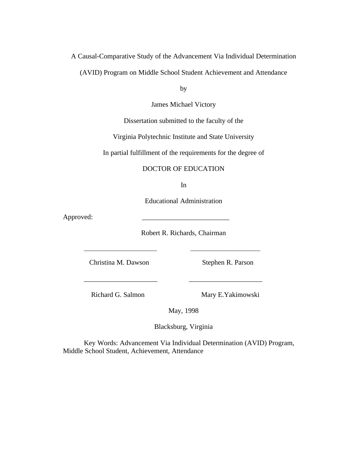# A Causal-Comparative Study of the Advancement Via Individual Determination

(AVID) Program on Middle School Student Achievement and Attendance

by

James Michael Victory

Dissertation submitted to the faculty of the

Virginia Polytechnic Institute and State University

In partial fulfillment of the requirements for the degree of

# DOCTOR OF EDUCATION

In

Educational Administration

Approved:

Robert R. Richards, Chairman

\_\_\_\_\_\_\_\_\_\_\_\_\_\_\_\_\_\_\_\_\_\_\_\_\_ \_\_\_\_\_\_\_\_\_\_\_\_\_\_\_\_\_\_\_\_\_\_\_\_

\_\_\_\_\_\_\_\_\_\_\_\_\_\_\_\_\_\_\_\_\_ \_\_\_\_\_\_\_\_\_\_\_\_\_\_\_\_\_\_\_\_\_

Christina M. Dawson Stephen R. Parson

Richard G. Salmon Mary E. Yakimowski

May, 1998

Blacksburg, Virginia

Key Words: Advancement Via Individual Determination (AVID) Program, Middle School Student, Achievement, Attendance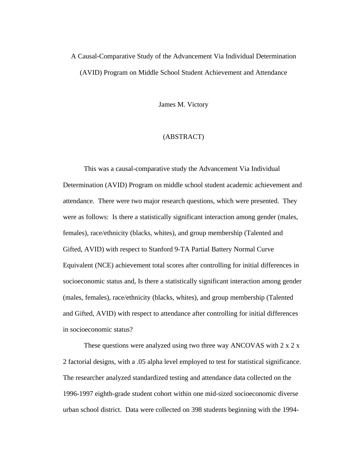# A Causal-Comparative Study of the Advancement Via Individual Determination (AVID) Program on Middle School Student Achievement and Attendance

James M. Victory

# (ABSTRACT)

This was a causal-comparative study the Advancement Via Individual Determination (AVID) Program on middle school student academic achievement and attendance. There were two major research questions, which were presented. They were as follows: Is there a statistically significant interaction among gender (males, females), race/ethnicity (blacks, whites), and group membership (Talented and Gifted, AVID) with respect to Stanford 9-TA Partial Battery Normal Curve Equivalent (NCE) achievement total scores after controlling for initial differences in socioeconomic status and, Is there a statistically significant interaction among gender (males, females), race/ethnicity (blacks, whites), and group membership (Talented and Gifted, AVID) with respect to attendance after controlling for initial differences in socioeconomic status?

These questions were analyzed using two three way ANCOVAS with 2 x 2 x 2 factorial designs, with a .05 alpha level employed to test for statistical significance. The researcher analyzed standardized testing and attendance data collected on the 1996-1997 eighth-grade student cohort within one mid-sized socioeconomic diverse urban school district. Data were collected on 398 students beginning with the 1994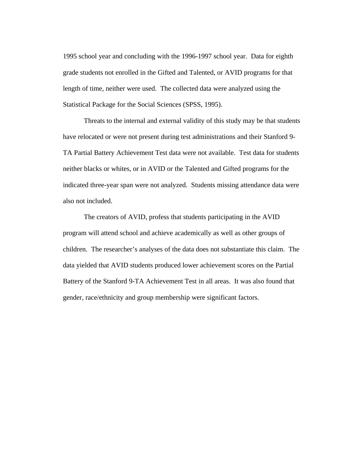1995 school year and concluding with the 1996-1997 school year. Data for eighth grade students not enrolled in the Gifted and Talented, or AVID programs for that length of time, neither were used. The collected data were analyzed using the Statistical Package for the Social Sciences (SPSS, 1995).

Threats to the internal and external validity of this study may be that students have relocated or were not present during test administrations and their Stanford 9- TA Partial Battery Achievement Test data were not available. Test data for students neither blacks or whites, or in AVID or the Talented and Gifted programs for the indicated three-year span were not analyzed. Students missing attendance data were also not included.

The creators of AVID, profess that students participating in the AVID program will attend school and achieve academically as well as other groups of children. The researcher's analyses of the data does not substantiate this claim. The data yielded that AVID students produced lower achievement scores on the Partial Battery of the Stanford 9-TA Achievement Test in all areas. It was also found that gender, race/ethnicity and group membership were significant factors.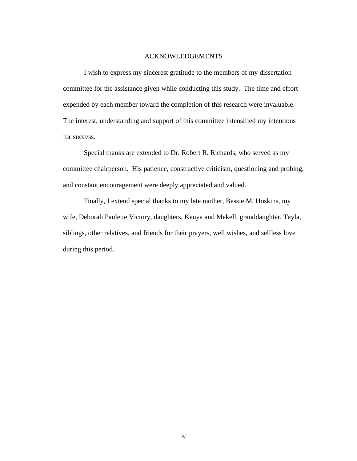#### ACKNOWLEDGEMENTS

 I wish to express my sincerest gratitude to the members of my dissertation committee for the assistance given while conducting this study. The time and effort expended by each member toward the completion of this research were invaluable. The interest, understanding and support of this committee intensified my intentions for success.

Special thanks are extended to Dr. Robert R. Richards, who served as my committee chairperson. His patience, constructive criticism, questioning and probing, and constant encouragement were deeply appreciated and valued.

Finally, I extend special thanks to my late mother, Bessie M. Hoskins, my wife, Deborah Paulette Victory, daughters, Kenya and Mekell, granddaughter, Tayla, siblings, other relatives, and friends for their prayers, well wishes, and selfless love during this period.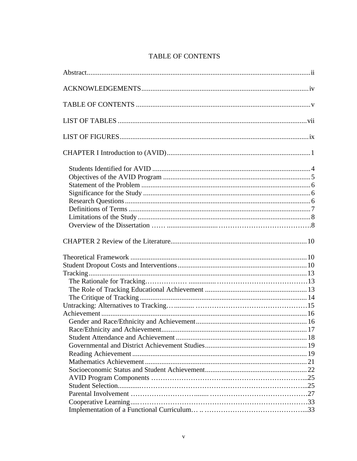# TABLE OF CONTENTS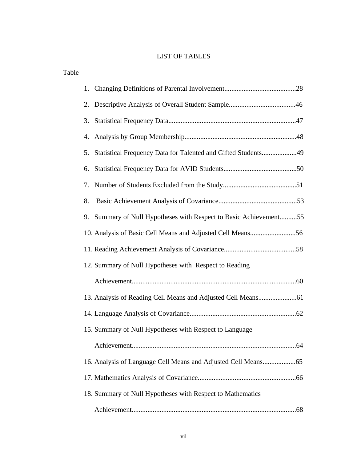# LIST OF TABLES

| Table |    |                                                                   |  |
|-------|----|-------------------------------------------------------------------|--|
|       |    |                                                                   |  |
|       |    |                                                                   |  |
|       |    |                                                                   |  |
|       |    |                                                                   |  |
|       |    | 5. Statistical Frequency Data for Talented and Gifted Students49  |  |
|       | 6. |                                                                   |  |
|       | 7. |                                                                   |  |
|       | 8. |                                                                   |  |
|       |    | 9. Summary of Null Hypotheses with Respect to Basic Achievement55 |  |
|       |    | 10. Analysis of Basic Cell Means and Adjusted Cell Means56        |  |
|       |    |                                                                   |  |
|       |    | 12. Summary of Null Hypotheses with Respect to Reading            |  |
|       |    |                                                                   |  |
|       |    |                                                                   |  |
|       |    |                                                                   |  |
|       |    | 15. Summary of Null Hypotheses with Respect to Language           |  |
|       |    |                                                                   |  |
|       |    |                                                                   |  |
|       |    |                                                                   |  |
|       |    | 18. Summary of Null Hypotheses with Respect to Mathematics        |  |
|       |    |                                                                   |  |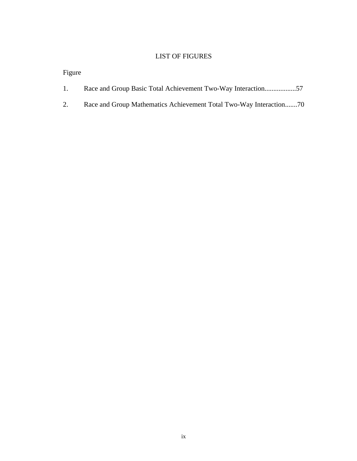# LIST OF FIGURES

Figure

|  |  |  |  |  | Race and Group Basic Total Achievement Two-Way Interaction57 |  |
|--|--|--|--|--|--------------------------------------------------------------|--|
|--|--|--|--|--|--------------------------------------------------------------|--|

2. Race and Group Mathematics Achievement Total Two-Way Interaction.......70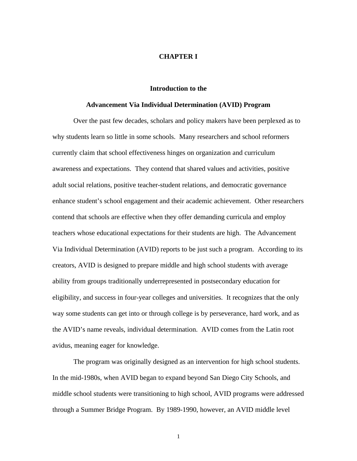#### **CHAPTER I**

#### **Introduction to the**

#### **Advancement Via Individual Determination (AVID) Program**

Over the past few decades, scholars and policy makers have been perplexed as to why students learn so little in some schools. Many researchers and school reformers currently claim that school effectiveness hinges on organization and curriculum awareness and expectations. They contend that shared values and activities, positive adult social relations, positive teacher-student relations, and democratic governance enhance student's school engagement and their academic achievement. Other researchers contend that schools are effective when they offer demanding curricula and employ teachers whose educational expectations for their students are high. The Advancement Via Individual Determination (AVID) reports to be just such a program. According to its creators, AVID is designed to prepare middle and high school students with average ability from groups traditionally underrepresented in postsecondary education for eligibility, and success in four-year colleges and universities. It recognizes that the only way some students can get into or through college is by perseverance, hard work, and as the AVID's name reveals, individual determination. AVID comes from the Latin root avidus, meaning eager for knowledge.

The program was originally designed as an intervention for high school students. In the mid-1980s, when AVID began to expand beyond San Diego City Schools, and middle school students were transitioning to high school, AVID programs were addressed through a Summer Bridge Program. By 1989-1990, however, an AVID middle level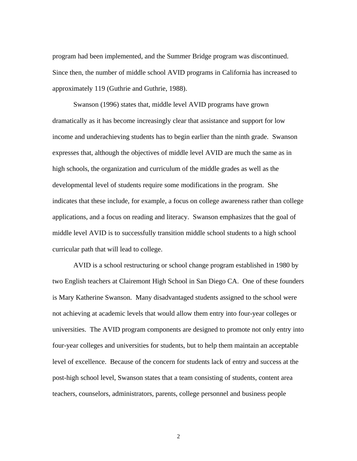program had been implemented, and the Summer Bridge program was discontinued. Since then, the number of middle school AVID programs in California has increased to approximately 119 (Guthrie and Guthrie, 1988).

Swanson (1996) states that, middle level AVID programs have grown dramatically as it has become increasingly clear that assistance and support for low income and underachieving students has to begin earlier than the ninth grade. Swanson expresses that, although the objectives of middle level AVID are much the same as in high schools, the organization and curriculum of the middle grades as well as the developmental level of students require some modifications in the program. She indicates that these include, for example, a focus on college awareness rather than college applications, and a focus on reading and literacy. Swanson emphasizes that the goal of middle level AVID is to successfully transition middle school students to a high school curricular path that will lead to college.

AVID is a school restructuring or school change program established in 1980 by two English teachers at Clairemont High School in San Diego CA. One of these founders is Mary Katherine Swanson. Many disadvantaged students assigned to the school were not achieving at academic levels that would allow them entry into four-year colleges or universities. The AVID program components are designed to promote not only entry into four-year colleges and universities for students, but to help them maintain an acceptable level of excellence. Because of the concern for students lack of entry and success at the post-high school level, Swanson states that a team consisting of students, content area teachers, counselors, administrators, parents, college personnel and business people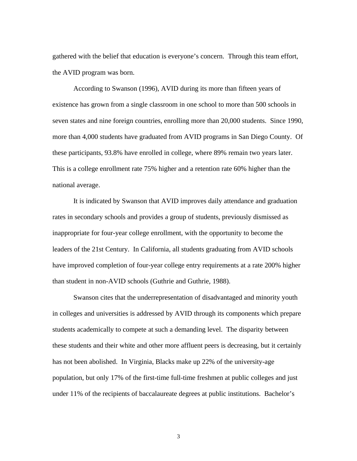gathered with the belief that education is everyone's concern. Through this team effort, the AVID program was born.

According to Swanson (1996), AVID during its more than fifteen years of existence has grown from a single classroom in one school to more than 500 schools in seven states and nine foreign countries, enrolling more than 20,000 students. Since 1990, more than 4,000 students have graduated from AVID programs in San Diego County. Of these participants, 93.8% have enrolled in college, where 89% remain two years later. This is a college enrollment rate 75% higher and a retention rate 60% higher than the national average.

It is indicated by Swanson that AVID improves daily attendance and graduation rates in secondary schools and provides a group of students, previously dismissed as inappropriate for four-year college enrollment, with the opportunity to become the leaders of the 21st Century. In California, all students graduating from AVID schools have improved completion of four-year college entry requirements at a rate 200% higher than student in non-AVID schools (Guthrie and Guthrie, 1988).

Swanson cites that the underrepresentation of disadvantaged and minority youth in colleges and universities is addressed by AVID through its components which prepare students academically to compete at such a demanding level. The disparity between these students and their white and other more affluent peers is decreasing, but it certainly has not been abolished. In Virginia, Blacks make up 22% of the university-age population, but only 17% of the first-time full-time freshmen at public colleges and just under 11% of the recipients of baccalaureate degrees at public institutions. Bachelor's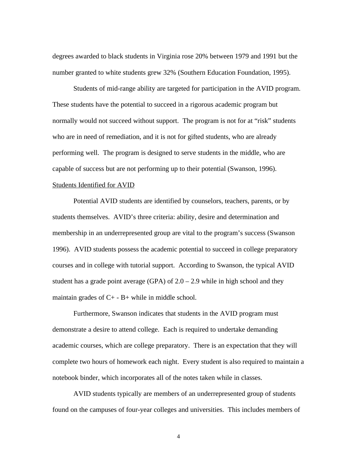degrees awarded to black students in Virginia rose 20% between 1979 and 1991 but the number granted to white students grew 32% (Southern Education Foundation, 1995).

Students of mid-range ability are targeted for participation in the AVID program. These students have the potential to succeed in a rigorous academic program but normally would not succeed without support. The program is not for at "risk" students who are in need of remediation, and it is not for gifted students, who are already performing well. The program is designed to serve students in the middle, who are capable of success but are not performing up to their potential (Swanson, 1996).

#### Students Identified for AVID

Potential AVID students are identified by counselors, teachers, parents, or by students themselves. AVID's three criteria: ability, desire and determination and membership in an underrepresented group are vital to the program's success (Swanson 1996). AVID students possess the academic potential to succeed in college preparatory courses and in college with tutorial support. According to Swanson, the typical AVID student has a grade point average (GPA) of  $2.0 - 2.9$  while in high school and they maintain grades of  $C_{+}$  - B+ while in middle school.

Furthermore, Swanson indicates that students in the AVID program must demonstrate a desire to attend college. Each is required to undertake demanding academic courses, which are college preparatory. There is an expectation that they will complete two hours of homework each night. Every student is also required to maintain a notebook binder, which incorporates all of the notes taken while in classes.

AVID students typically are members of an underrepresented group of students found on the campuses of four-year colleges and universities. This includes members of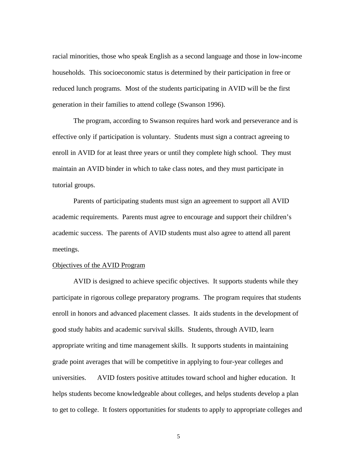racial minorities, those who speak English as a second language and those in low-income households. This socioeconomic status is determined by their participation in free or reduced lunch programs. Most of the students participating in AVID will be the first generation in their families to attend college (Swanson 1996).

The program, according to Swanson requires hard work and perseverance and is effective only if participation is voluntary. Students must sign a contract agreeing to enroll in AVID for at least three years or until they complete high school. They must maintain an AVID binder in which to take class notes, and they must participate in tutorial groups.

Parents of participating students must sign an agreement to support all AVID academic requirements. Parents must agree to encourage and support their children's academic success. The parents of AVID students must also agree to attend all parent meetings.

# Objectives of the AVID Program

AVID is designed to achieve specific objectives. It supports students while they participate in rigorous college preparatory programs. The program requires that students enroll in honors and advanced placement classes. It aids students in the development of good study habits and academic survival skills. Students, through AVID, learn appropriate writing and time management skills. It supports students in maintaining grade point averages that will be competitive in applying to four-year colleges and universities. AVID fosters positive attitudes toward school and higher education. It helps students become knowledgeable about colleges, and helps students develop a plan to get to college. It fosters opportunities for students to apply to appropriate colleges and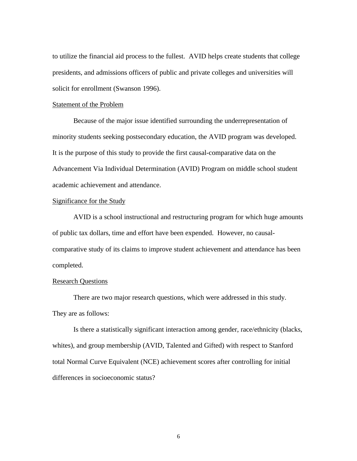to utilize the financial aid process to the fullest. AVID helps create students that college presidents, and admissions officers of public and private colleges and universities will solicit for enrollment (Swanson 1996).

#### Statement of the Problem

Because of the major issue identified surrounding the underrepresentation of minority students seeking postsecondary education, the AVID program was developed. It is the purpose of this study to provide the first causal-comparative data on the Advancement Via Individual Determination (AVID) Program on middle school student academic achievement and attendance.

# Significance for the Study

AVID is a school instructional and restructuring program for which huge amounts of public tax dollars, time and effort have been expended. However, no causalcomparative study of its claims to improve student achievement and attendance has been completed.

# **Research Questions**

There are two major research questions, which were addressed in this study. They are as follows:

Is there a statistically significant interaction among gender, race/ethnicity (blacks, whites), and group membership (AVID, Talented and Gifted) with respect to Stanford total Normal Curve Equivalent (NCE) achievement scores after controlling for initial differences in socioeconomic status?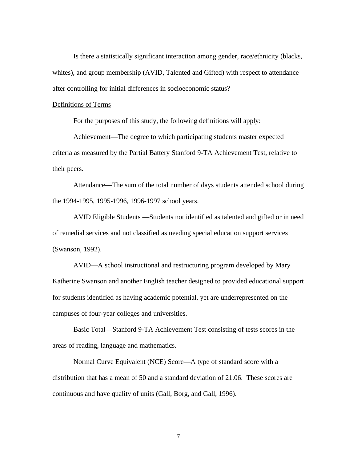Is there a statistically significant interaction among gender, race/ethnicity (blacks, whites), and group membership (AVID, Talented and Gifted) with respect to attendance after controlling for initial differences in socioeconomic status?

#### Definitions of Terms

For the purposes of this study, the following definitions will apply:

Achievement—The degree to which participating students master expected criteria as measured by the Partial Battery Stanford 9-TA Achievement Test, relative to their peers.

Attendance—The sum of the total number of days students attended school during the 1994-1995, 1995-1996, 1996-1997 school years.

AVID Eligible Students —Students not identified as talented and gifted or in need of remedial services and not classified as needing special education support services (Swanson, 1992).

AVID—A school instructional and restructuring program developed by Mary Katherine Swanson and another English teacher designed to provided educational support for students identified as having academic potential, yet are underrepresented on the campuses of four-year colleges and universities.

Basic Total—Stanford 9-TA Achievement Test consisting of tests scores in the areas of reading, language and mathematics.

Normal Curve Equivalent (NCE) Score—A type of standard score with a distribution that has a mean of 50 and a standard deviation of 21.06. These scores are continuous and have quality of units (Gall, Borg, and Gall, 1996).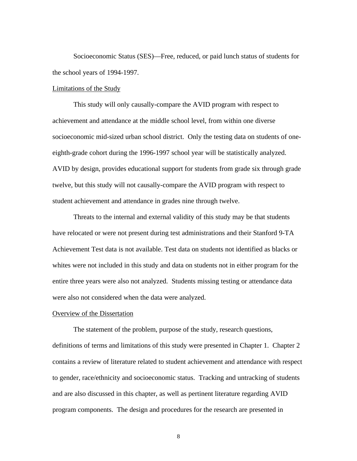Socioeconomic Status (SES)—Free, reduced, or paid lunch status of students for the school years of 1994-1997.

#### Limitations of the Study

This study will only causally-compare the AVID program with respect to achievement and attendance at the middle school level, from within one diverse socioeconomic mid-sized urban school district. Only the testing data on students of oneeighth-grade cohort during the 1996-1997 school year will be statistically analyzed. AVID by design, provides educational support for students from grade six through grade twelve, but this study will not causally-compare the AVID program with respect to student achievement and attendance in grades nine through twelve.

Threats to the internal and external validity of this study may be that students have relocated or were not present during test administrations and their Stanford 9-TA Achievement Test data is not available. Test data on students not identified as blacks or whites were not included in this study and data on students not in either program for the entire three years were also not analyzed. Students missing testing or attendance data were also not considered when the data were analyzed.

# Overview of the Dissertation

The statement of the problem, purpose of the study, research questions, definitions of terms and limitations of this study were presented in Chapter 1. Chapter 2 contains a review of literature related to student achievement and attendance with respect to gender, race/ethnicity and socioeconomic status. Tracking and untracking of students and are also discussed in this chapter, as well as pertinent literature regarding AVID program components. The design and procedures for the research are presented in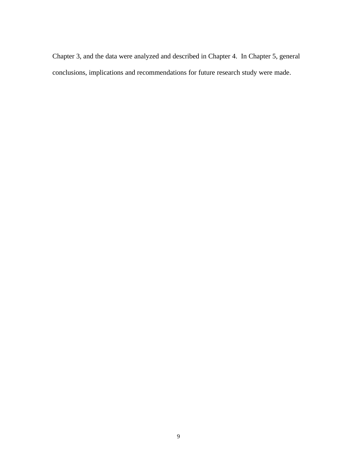Chapter 3, and the data were analyzed and described in Chapter 4. In Chapter 5, general conclusions, implications and recommendations for future research study were made.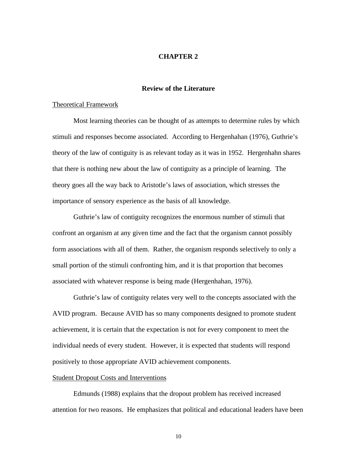## **CHAPTER 2**

## **Review of the Literature**

#### Theoretical Framework

Most learning theories can be thought of as attempts to determine rules by which stimuli and responses become associated. According to Hergenhahan (1976), Guthrie's theory of the law of contiguity is as relevant today as it was in 1952. Hergenhahn shares that there is nothing new about the law of contiguity as a principle of learning. The theory goes all the way back to Aristotle's laws of association, which stresses the importance of sensory experience as the basis of all knowledge.

Guthrie's law of contiguity recognizes the enormous number of stimuli that confront an organism at any given time and the fact that the organism cannot possibly form associations with all of them. Rather, the organism responds selectively to only a small portion of the stimuli confronting him, and it is that proportion that becomes associated with whatever response is being made (Hergenhahan, 1976).

Guthrie's law of contiguity relates very well to the concepts associated with the AVID program. Because AVID has so many components designed to promote student achievement, it is certain that the expectation is not for every component to meet the individual needs of every student. However, it is expected that students will respond positively to those appropriate AVID achievement components.

#### Student Dropout Costs and Interventions

Edmunds (1988) explains that the dropout problem has received increased attention for two reasons. He emphasizes that political and educational leaders have been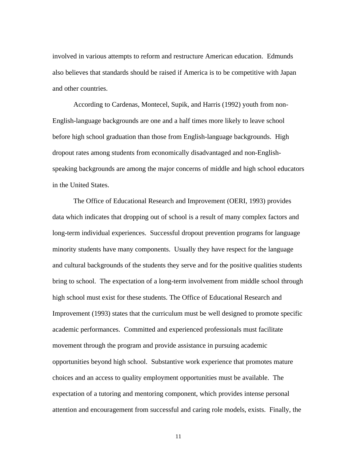involved in various attempts to reform and restructure American education. Edmunds also believes that standards should be raised if America is to be competitive with Japan and other countries.

According to Cardenas, Montecel, Supik, and Harris (1992) youth from non-English-language backgrounds are one and a half times more likely to leave school before high school graduation than those from English-language backgrounds. High dropout rates among students from economically disadvantaged and non-Englishspeaking backgrounds are among the major concerns of middle and high school educators in the United States.

The Office of Educational Research and Improvement (OERI, 1993) provides data which indicates that dropping out of school is a result of many complex factors and long-term individual experiences. Successful dropout prevention programs for language minority students have many components. Usually they have respect for the language and cultural backgrounds of the students they serve and for the positive qualities students bring to school. The expectation of a long-term involvement from middle school through high school must exist for these students. The Office of Educational Research and Improvement (1993) states that the curriculum must be well designed to promote specific academic performances. Committed and experienced professionals must facilitate movement through the program and provide assistance in pursuing academic opportunities beyond high school. Substantive work experience that promotes mature choices and an access to quality employment opportunities must be available. The expectation of a tutoring and mentoring component, which provides intense personal attention and encouragement from successful and caring role models, exists. Finally, the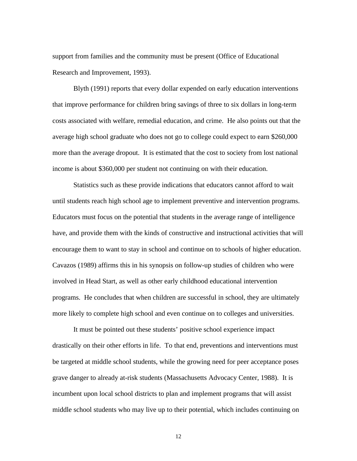support from families and the community must be present (Office of Educational Research and Improvement, 1993).

Blyth (1991) reports that every dollar expended on early education interventions that improve performance for children bring savings of three to six dollars in long-term costs associated with welfare, remedial education, and crime. He also points out that the average high school graduate who does not go to college could expect to earn \$260,000 more than the average dropout. It is estimated that the cost to society from lost national income is about \$360,000 per student not continuing on with their education.

Statistics such as these provide indications that educators cannot afford to wait until students reach high school age to implement preventive and intervention programs. Educators must focus on the potential that students in the average range of intelligence have, and provide them with the kinds of constructive and instructional activities that will encourage them to want to stay in school and continue on to schools of higher education. Cavazos (1989) affirms this in his synopsis on follow-up studies of children who were involved in Head Start, as well as other early childhood educational intervention programs. He concludes that when children are successful in school, they are ultimately more likely to complete high school and even continue on to colleges and universities.

It must be pointed out these students' positive school experience impact drastically on their other efforts in life. To that end, preventions and interventions must be targeted at middle school students, while the growing need for peer acceptance poses grave danger to already at-risk students (Massachusetts Advocacy Center, 1988). It is incumbent upon local school districts to plan and implement programs that will assist middle school students who may live up to their potential, which includes continuing on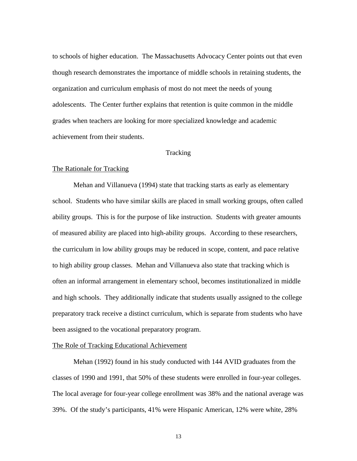to schools of higher education. The Massachusetts Advocacy Center points out that even though research demonstrates the importance of middle schools in retaining students, the organization and curriculum emphasis of most do not meet the needs of young adolescents. The Center further explains that retention is quite common in the middle grades when teachers are looking for more specialized knowledge and academic achievement from their students.

#### Tracking

#### The Rationale for Tracking

Mehan and Villanueva (1994) state that tracking starts as early as elementary school. Students who have similar skills are placed in small working groups, often called ability groups. This is for the purpose of like instruction. Students with greater amounts of measured ability are placed into high-ability groups. According to these researchers, the curriculum in low ability groups may be reduced in scope, content, and pace relative to high ability group classes. Mehan and Villanueva also state that tracking which is often an informal arrangement in elementary school, becomes institutionalized in middle and high schools. They additionally indicate that students usually assigned to the college preparatory track receive a distinct curriculum, which is separate from students who have been assigned to the vocational preparatory program.

## The Role of Tracking Educational Achievement

Mehan (1992) found in his study conducted with 144 AVID graduates from the classes of 1990 and 1991, that 50% of these students were enrolled in four-year colleges. The local average for four-year college enrollment was 38% and the national average was 39%. Of the study's participants, 41% were Hispanic American, 12% were white, 28%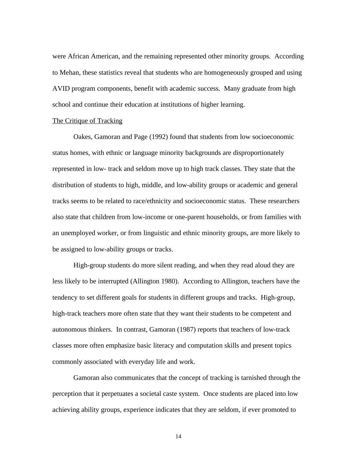were African American, and the remaining represented other minority groups. According to Mehan, these statistics reveal that students who are homogeneously grouped and using AVID program components, benefit with academic success. Many graduate from high school and continue their education at institutions of higher learning.

#### The Critique of Tracking

Oakes, Gamoran and Page (1992) found that students from low socioeconomic status homes, with ethnic or language minority backgrounds are disproportionately represented in low- track and seldom move up to high track classes. They state that the distribution of students to high, middle, and low-ability groups or academic and general tracks seems to be related to race/ethnicity and socioeconomic status. These researchers also state that children from low-income or one-parent households, or from families with an unemployed worker, or from linguistic and ethnic minority groups, are more likely to be assigned to low-ability groups or tracks.

High-group students do more silent reading, and when they read aloud they are less likely to be interrupted (Allington 1980). According to Allington, teachers have the tendency to set different goals for students in different groups and tracks. High-group, high-track teachers more often state that they want their students to be competent and autonomous thinkers. In contrast, Gamoran (1987) reports that teachers of low-track classes more often emphasize basic literacy and computation skills and present topics commonly associated with everyday life and work.

Gamoran also communicates that the concept of tracking is tarnished through the perception that it perpetuates a societal caste system. Once students are placed into low achieving ability groups, experience indicates that they are seldom, if ever promoted to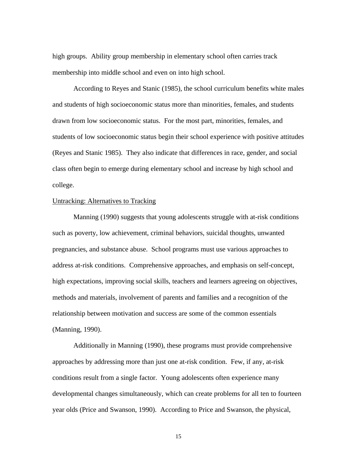high groups. Ability group membership in elementary school often carries track membership into middle school and even on into high school.

According to Reyes and Stanic (1985), the school curriculum benefits white males and students of high socioeconomic status more than minorities, females, and students drawn from low socioeconomic status. For the most part, minorities, females, and students of low socioeconomic status begin their school experience with positive attitudes (Reyes and Stanic 1985). They also indicate that differences in race, gender, and social class often begin to emerge during elementary school and increase by high school and college.

# Untracking: Alternatives to Tracking

Manning (1990) suggests that young adolescents struggle with at-risk conditions such as poverty, low achievement, criminal behaviors, suicidal thoughts, unwanted pregnancies, and substance abuse. School programs must use various approaches to address at-risk conditions. Comprehensive approaches, and emphasis on self-concept, high expectations, improving social skills, teachers and learners agreeing on objectives, methods and materials, involvement of parents and families and a recognition of the relationship between motivation and success are some of the common essentials (Manning, 1990).

Additionally in Manning (1990), these programs must provide comprehensive approaches by addressing more than just one at-risk condition. Few, if any, at-risk conditions result from a single factor. Young adolescents often experience many developmental changes simultaneously, which can create problems for all ten to fourteen year olds (Price and Swanson, 1990). According to Price and Swanson, the physical,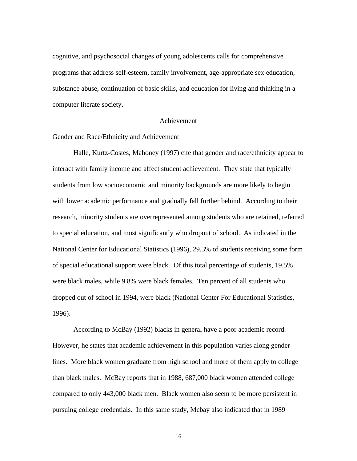cognitive, and psychosocial changes of young adolescents calls for comprehensive programs that address self-esteem, family involvement, age-appropriate sex education, substance abuse, continuation of basic skills, and education for living and thinking in a computer literate society.

#### Achievement

#### Gender and Race/Ethnicity and Achievement

Halle, Kurtz-Costes, Mahoney (1997) cite that gender and race/ethnicity appear to interact with family income and affect student achievement. They state that typically students from low socioeconomic and minority backgrounds are more likely to begin with lower academic performance and gradually fall further behind. According to their research, minority students are overrepresented among students who are retained, referred to special education, and most significantly who dropout of school. As indicated in the National Center for Educational Statistics (1996), 29.3% of students receiving some form of special educational support were black. Of this total percentage of students, 19.5% were black males, while 9.8% were black females. Ten percent of all students who dropped out of school in 1994, were black (National Center For Educational Statistics, 1996).

According to McBay (1992) blacks in general have a poor academic record. However, he states that academic achievement in this population varies along gender lines. More black women graduate from high school and more of them apply to college than black males. McBay reports that in 1988, 687,000 black women attended college compared to only 443,000 black men. Black women also seem to be more persistent in pursuing college credentials. In this same study, Mcbay also indicated that in 1989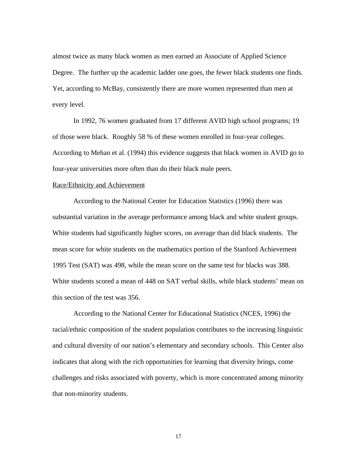almost twice as many black women as men earned an Associate of Applied Science Degree. The further up the academic ladder one goes, the fewer black students one finds. Yet, according to McBay, consistently there are more women represented than men at every level.

In 1992, 76 women graduated from 17 different AVID high school programs; 19 of those were black. Roughly 58 % of these women enrolled in four-year colleges. According to Mehan et al. (1994) this evidence suggests that black women in AVID go to four-year universities more often than do their black male peers.

#### Race/Ethnicity and Achievement

According to the National Center for Education Statistics (1996) there was substantial variation in the average performance among black and white student groups. White students had significantly higher scores, on average than did black students. The mean score for white students on the mathematics portion of the Stanford Achievement 1995 Test (SAT) was 498, while the mean score on the same test for blacks was 388. White students scored a mean of 448 on SAT verbal skills, while black students' mean on this section of the test was 356.

According to the National Center for Educational Statistics (NCES, 1996) the racial/ethnic composition of the student population contributes to the increasing linguistic and cultural diversity of our nation's elementary and secondary schools. This Center also indicates that along with the rich opportunities for learning that diversity brings, come challenges and risks associated with poverty, which is more concentrated among minority that non-minority students.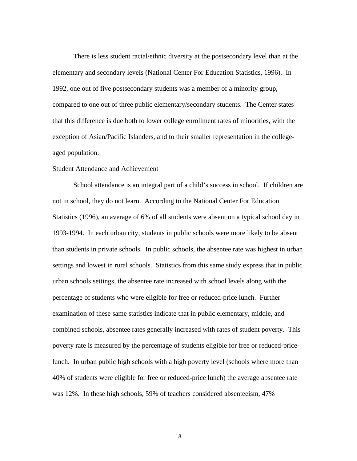There is less student racial/ethnic diversity at the postsecondary level than at the elementary and secondary levels (National Center For Education Statistics, 1996). In 1992, one out of five postsecondary students was a member of a minority group, compared to one out of three public elementary/secondary students. The Center states that this difference is due both to lower college enrollment rates of minorities, with the exception of Asian/Pacific Islanders, and to their smaller representation in the collegeaged population.

#### Student Attendance and Achievement

School attendance is an integral part of a child's success in school. If children are not in school, they do not learn. According to the National Center For Education Statistics (1996), an average of 6% of all students were absent on a typical school day in 1993-1994. In each urban city, students in public schools were more likely to be absent than students in private schools. In public schools, the absentee rate was highest in urban settings and lowest in rural schools. Statistics from this same study express that in public urban schools settings, the absentee rate increased with school levels along with the percentage of students who were eligible for free or reduced-price lunch. Further examination of these same statistics indicate that in public elementary, middle, and combined schools, absentee rates generally increased with rates of student poverty. This poverty rate is measured by the percentage of students eligible for free or reduced-pricelunch. In urban public high schools with a high poverty level (schools where more than 40% of students were eligible for free or reduced-price lunch) the average absentee rate was 12%. In these high schools, 59% of teachers considered absenteeism, 47%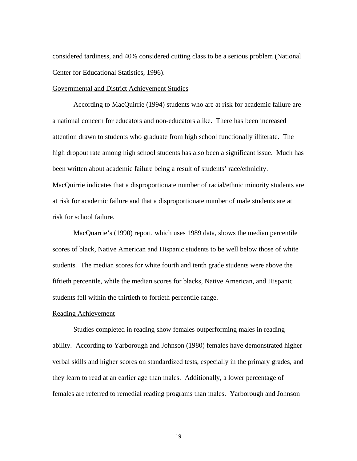considered tardiness, and 40% considered cutting class to be a serious problem (National Center for Educational Statistics, 1996).

#### Governmental and District Achievement Studies

According to MacQuirrie (1994) students who are at risk for academic failure are a national concern for educators and non-educators alike. There has been increased attention drawn to students who graduate from high school functionally illiterate. The high dropout rate among high school students has also been a significant issue. Much has been written about academic failure being a result of students' race/ethnicity. MacQuirrie indicates that a disproportionate number of racial/ethnic minority students are at risk for academic failure and that a disproportionate number of male students are at risk for school failure.

MacQuarrie's (1990) report, which uses 1989 data, shows the median percentile scores of black, Native American and Hispanic students to be well below those of white students. The median scores for white fourth and tenth grade students were above the fiftieth percentile, while the median scores for blacks, Native American, and Hispanic students fell within the thirtieth to fortieth percentile range.

# Reading Achievement

Studies completed in reading show females outperforming males in reading ability. According to Yarborough and Johnson (1980) females have demonstrated higher verbal skills and higher scores on standardized tests, especially in the primary grades, and they learn to read at an earlier age than males. Additionally, a lower percentage of females are referred to remedial reading programs than males. Yarborough and Johnson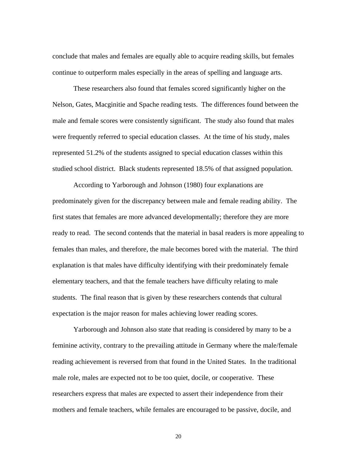conclude that males and females are equally able to acquire reading skills, but females continue to outperform males especially in the areas of spelling and language arts.

These researchers also found that females scored significantly higher on the Nelson, Gates, Macginitie and Spache reading tests. The differences found between the male and female scores were consistently significant. The study also found that males were frequently referred to special education classes. At the time of his study, males represented 51.2% of the students assigned to special education classes within this studied school district. Black students represented 18.5% of that assigned population.

According to Yarborough and Johnson (1980) four explanations are predominately given for the discrepancy between male and female reading ability. The first states that females are more advanced developmentally; therefore they are more ready to read. The second contends that the material in basal readers is more appealing to females than males, and therefore, the male becomes bored with the material. The third explanation is that males have difficulty identifying with their predominately female elementary teachers, and that the female teachers have difficulty relating to male students. The final reason that is given by these researchers contends that cultural expectation is the major reason for males achieving lower reading scores.

Yarborough and Johnson also state that reading is considered by many to be a feminine activity, contrary to the prevailing attitude in Germany where the male/female reading achievement is reversed from that found in the United States. In the traditional male role, males are expected not to be too quiet, docile, or cooperative. These researchers express that males are expected to assert their independence from their mothers and female teachers, while females are encouraged to be passive, docile, and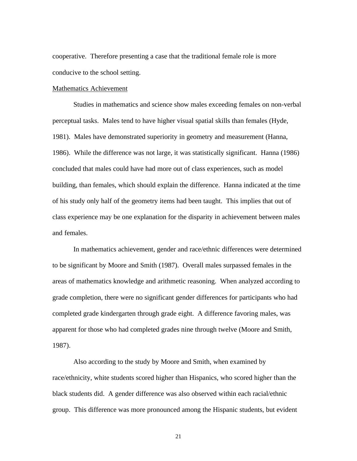cooperative. Therefore presenting a case that the traditional female role is more conducive to the school setting.

#### Mathematics Achievement

Studies in mathematics and science show males exceeding females on non-verbal perceptual tasks. Males tend to have higher visual spatial skills than females (Hyde, 1981). Males have demonstrated superiority in geometry and measurement (Hanna, 1986). While the difference was not large, it was statistically significant. Hanna (1986) concluded that males could have had more out of class experiences, such as model building, than females, which should explain the difference. Hanna indicated at the time of his study only half of the geometry items had been taught. This implies that out of class experience may be one explanation for the disparity in achievement between males and females.

In mathematics achievement, gender and race/ethnic differences were determined to be significant by Moore and Smith (1987). Overall males surpassed females in the areas of mathematics knowledge and arithmetic reasoning. When analyzed according to grade completion, there were no significant gender differences for participants who had completed grade kindergarten through grade eight. A difference favoring males, was apparent for those who had completed grades nine through twelve (Moore and Smith, 1987).

Also according to the study by Moore and Smith, when examined by race/ethnicity, white students scored higher than Hispanics, who scored higher than the black students did. A gender difference was also observed within each racial/ethnic group. This difference was more pronounced among the Hispanic students, but evident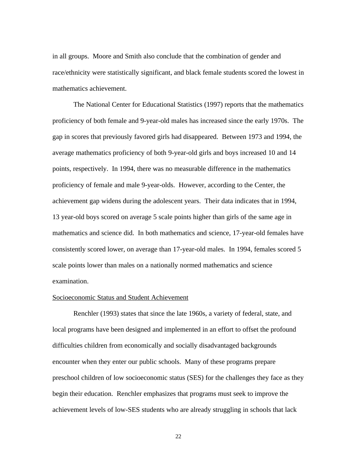in all groups. Moore and Smith also conclude that the combination of gender and race/ethnicity were statistically significant, and black female students scored the lowest in mathematics achievement.

The National Center for Educational Statistics (1997) reports that the mathematics proficiency of both female and 9-year-old males has increased since the early 1970s. The gap in scores that previously favored girls had disappeared. Between 1973 and 1994, the average mathematics proficiency of both 9-year-old girls and boys increased 10 and 14 points, respectively. In 1994, there was no measurable difference in the mathematics proficiency of female and male 9-year-olds. However, according to the Center, the achievement gap widens during the adolescent years. Their data indicates that in 1994, 13 year-old boys scored on average 5 scale points higher than girls of the same age in mathematics and science did. In both mathematics and science, 17-year-old females have consistently scored lower, on average than 17-year-old males. In 1994, females scored 5 scale points lower than males on a nationally normed mathematics and science examination.

# Socioeconomic Status and Student Achievement

Renchler (1993) states that since the late 1960s, a variety of federal, state, and local programs have been designed and implemented in an effort to offset the profound difficulties children from economically and socially disadvantaged backgrounds encounter when they enter our public schools. Many of these programs prepare preschool children of low socioeconomic status (SES) for the challenges they face as they begin their education. Renchler emphasizes that programs must seek to improve the achievement levels of low-SES students who are already struggling in schools that lack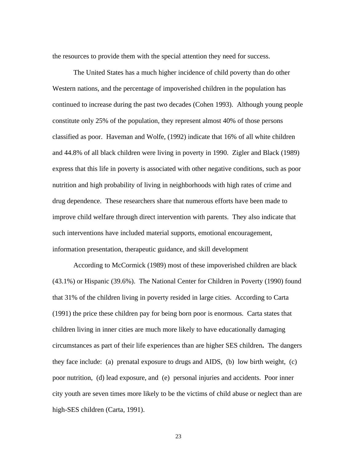the resources to provide them with the special attention they need for success.

The United States has a much higher incidence of child poverty than do other Western nations, and the percentage of impoverished children in the population has continued to increase during the past two decades (Cohen 1993). Although young people constitute only 25% of the population, they represent almost 40% of those persons classified as poor. Haveman and Wolfe, (1992) indicate that 16% of all white children and 44.8% of all black children were living in poverty in 1990. Zigler and Black (1989) express that this life in poverty is associated with other negative conditions, such as poor nutrition and high probability of living in neighborhoods with high rates of crime and drug dependence. These researchers share that numerous efforts have been made to improve child welfare through direct intervention with parents. They also indicate that such interventions have included material supports, emotional encouragement, information presentation, therapeutic guidance, and skill development

According to McCormick (1989) most of these impoverished children are black (43.1%) or Hispanic (39.6%). The National Center for Children in Poverty (1990) found that 31% of the children living in poverty resided in large cities. According to Carta (1991) the price these children pay for being born poor is enormous. Carta states that children living in inner cities are much more likely to have educationally damaging circumstances as part of their life experiences than are higher SES children**.** The dangers they face include: (a) prenatal exposure to drugs and AIDS, (b) low birth weight, (c) poor nutrition, (d) lead exposure, and (e) personal injuries and accidents. Poor inner city youth are seven times more likely to be the victims of child abuse or neglect than are high-SES children (Carta, 1991).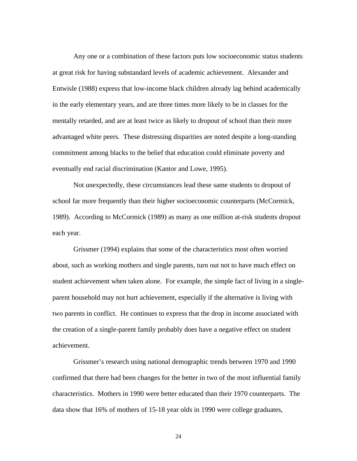Any one or a combination of these factors puts low socioeconomic status students at great risk for having substandard levels of academic achievement. Alexander and Entwisle (1988) express that low-income black children already lag behind academically in the early elementary years, and are three times more likely to be in classes for the mentally retarded, and are at least twice as likely to dropout of school than their more advantaged white peers. These distressing disparities are noted despite a long-standing commitment among blacks to the belief that education could eliminate poverty and eventually end racial discrimination (Kantor and Lowe, 1995).

Not unexpectedly, these circumstances lead these same students to dropout of school far more frequently than their higher socioeconomic counterparts (McCormick, 1989). According to McCormick (1989) as many as one million at-risk students dropout each year.

 Grissmer (1994) explains that some of the characteristics most often worried about, such as working mothers and single parents, turn out not to have much effect on student achievement when taken alone. For example, the simple fact of living in a singleparent household may not hurt achievement, especially if the alternative is living with two parents in conflict. He continues to express that the drop in income associated with the creation of a single-parent family probably does have a negative effect on student achievement.

 Grissmer's research using national demographic trends between 1970 and 1990 confirmed that there had been changes for the better in two of the most influential family characteristics. Mothers in 1990 were better educated than their 1970 counterparts. The data show that 16% of mothers of 15-18 year olds in 1990 were college graduates,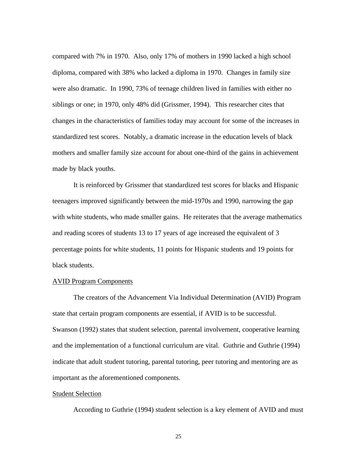compared with 7% in 1970. Also, only 17% of mothers in 1990 lacked a high school diploma, compared with 38% who lacked a diploma in 1970. Changes in family size were also dramatic. In 1990, 73% of teenage children lived in families with either no siblings or one; in 1970, only 48% did (Grissmer, 1994). This researcher cites that changes in the characteristics of families today may account for some of the increases in standardized test scores. Notably, a dramatic increase in the education levels of black mothers and smaller family size account for about one-third of the gains in achievement made by black youths.

It is reinforced by Grissmer that standardized test scores for blacks and Hispanic teenagers improved significantly between the mid-1970s and 1990, narrowing the gap with white students, who made smaller gains. He reiterates that the average mathematics and reading scores of students 13 to 17 years of age increased the equivalent of 3 percentage points for white students, 11 points for Hispanic students and 19 points for black students.

# AVID Program Components

The creators of the Advancement Via Individual Determination (AVID) Program state that certain program components are essential, if AVID is to be successful. Swanson (1992) states that student selection, parental involvement, cooperative learning and the implementation of a functional curriculum are vital. Guthrie and Guthrie (1994) indicate that adult student tutoring, parental tutoring, peer tutoring and mentoring are as important as the aforementioned components.

#### **Student Selection**

According to Guthrie (1994) student selection is a key element of AVID and must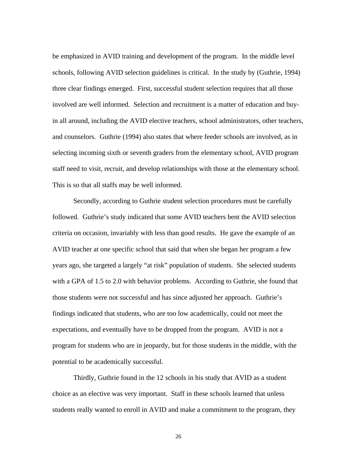be emphasized in AVID training and development of the program. In the middle level schools, following AVID selection guidelines is critical. In the study by (Guthrie, 1994) three clear findings emerged. First, successful student selection requires that all those involved are well informed. Selection and recruitment is a matter of education and buyin all around, including the AVID elective teachers, school administrators, other teachers, and counselors. Guthrie (1994) also states that where feeder schools are involved, as in selecting incoming sixth or seventh graders from the elementary school, AVID program staff need to visit, recruit, and develop relationships with those at the elementary school. This is so that all staffs may be well informed.

Secondly, according to Guthrie student selection procedures must be carefully followed. Guthrie's study indicated that some AVID teachers bent the AVID selection criteria on occasion, invariably with less than good results. He gave the example of an AVID teacher at one specific school that said that when she began her program a few years ago, she targeted a largely "at risk" population of students. She selected students with a GPA of 1.5 to 2.0 with behavior problems. According to Guthrie, she found that those students were not successful and has since adjusted her approach. Guthrie's findings indicated that students, who are too low academically, could not meet the expectations, and eventually have to be dropped from the program. AVID is not a program for students who are in jeopardy, but for those students in the middle, with the potential to be academically successful.

Thirdly, Guthrie found in the 12 schools in his study that AVID as a student choice as an elective was very important. Staff in these schools learned that unless students really wanted to enroll in AVID and make a commitment to the program, they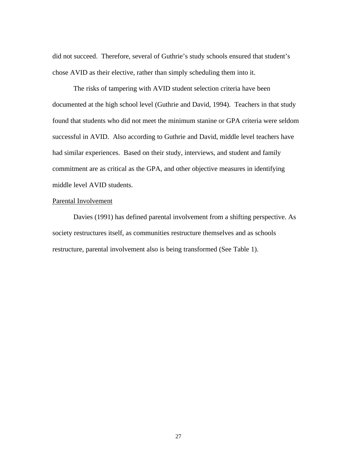did not succeed. Therefore, several of Guthrie's study schools ensured that student's chose AVID as their elective, rather than simply scheduling them into it.

The risks of tampering with AVID student selection criteria have been documented at the high school level (Guthrie and David, 1994). Teachers in that study found that students who did not meet the minimum stanine or GPA criteria were seldom successful in AVID. Also according to Guthrie and David, middle level teachers have had similar experiences. Based on their study, interviews, and student and family commitment are as critical as the GPA, and other objective measures in identifying middle level AVID students.

# Parental Involvement

 Davies (1991) has defined parental involvement from a shifting perspective. As society restructures itself, as communities restructure themselves and as schools restructure, parental involvement also is being transformed (See Table 1).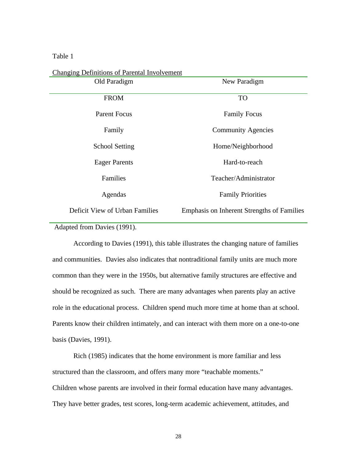## Table 1

| Changing Demintions of Fateman involvement |                                                   |
|--------------------------------------------|---------------------------------------------------|
| Old Paradigm                               | New Paradigm                                      |
| <b>FROM</b>                                | <b>TO</b>                                         |
| Parent Focus                               | <b>Family Focus</b>                               |
| Family                                     | <b>Community Agencies</b>                         |
| <b>School Setting</b>                      | Home/Neighborhood                                 |
| <b>Eager Parents</b>                       | Hard-to-reach                                     |
| Families                                   | Teacher/Administrator                             |
| Agendas                                    | <b>Family Priorities</b>                          |
| Deficit View of Urban Families             | <b>Emphasis on Inherent Strengths of Families</b> |

Changing Definitions of Parental Involvement

Adapted from Davies (1991).

 According to Davies (1991), this table illustrates the changing nature of families and communities. Davies also indicates that nontraditional family units are much more common than they were in the 1950s, but alternative family structures are effective and should be recognized as such. There are many advantages when parents play an active role in the educational process. Children spend much more time at home than at school. Parents know their children intimately, and can interact with them more on a one-to-one basis (Davies, 1991).

 Rich (1985) indicates that the home environment is more familiar and less structured than the classroom, and offers many more "teachable moments." Children whose parents are involved in their formal education have many advantages. They have better grades, test scores, long-term academic achievement, attitudes, and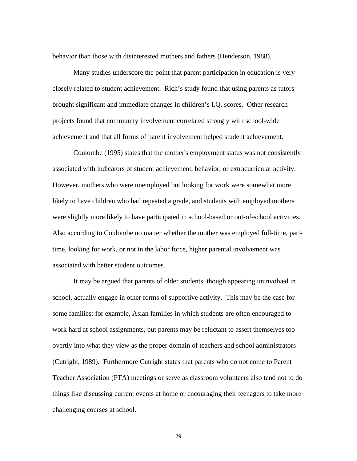behavior than those with disinterested mothers and fathers (Henderson, 1988).

Many studies underscore the point that parent participation in education is very closely related to student achievement. Rich's study found that using parents as tutors brought significant and immediate changes in children's I.Q. scores. Other research projects found that community involvement correlated strongly with school-wide achievement and that all forms of parent involvement helped student achievement.

 Coulombe (1995) states that the mother's employment status was not consistently associated with indicators of student achievement, behavior, or extracurricular activity. However, mothers who were unemployed but looking for work were somewhat more likely to have children who had repeated a grade, and students with employed mothers were slightly more likely to have participated in school-based or out-of-school activities. Also according to Coulombe no matter whether the mother was employed full-time, parttime, looking for work, or not in the labor force, higher parental involvement was associated with better student outcomes.

 It may be argued that parents of older students, though appearing uninvolved in school, actually engage in other forms of supportive activity. This may be the case for some families; for example, Asian families in which students are often encouraged to work hard at school assignments, but parents may be reluctant to assert themselves too overtly into what they view as the proper domain of teachers and school administrators (Cutright, 1989). Furthermore Cutright states that parents who do not come to Parent Teacher Association (PTA) meetings or serve as classroom volunteers also tend not to do things like discussing current events at home or encouraging their teenagers to take more challenging courses at school.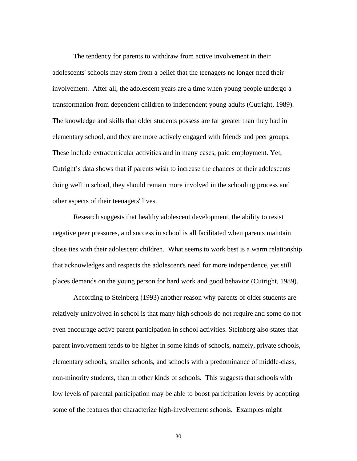The tendency for parents to withdraw from active involvement in their adolescents' schools may stem from a belief that the teenagers no longer need their involvement. After all, the adolescent years are a time when young people undergo a transformation from dependent children to independent young adults (Cutright, 1989). The knowledge and skills that older students possess are far greater than they had in elementary school, and they are more actively engaged with friends and peer groups. These include extracurricular activities and in many cases, paid employment. Yet, Cutright's data shows that if parents wish to increase the chances of their adolescents doing well in school, they should remain more involved in the schooling process and other aspects of their teenagers' lives.

Research suggests that healthy adolescent development, the ability to resist negative peer pressures, and success in school is all facilitated when parents maintain close ties with their adolescent children. What seems to work best is a warm relationship that acknowledges and respects the adolescent's need for more independence, yet still places demands on the young person for hard work and good behavior (Cutright, 1989).

 According to Steinberg (1993) another reason why parents of older students are relatively uninvolved in school is that many high schools do not require and some do not even encourage active parent participation in school activities. Steinberg also states that parent involvement tends to be higher in some kinds of schools, namely, private schools, elementary schools, smaller schools, and schools with a predominance of middle-class, non-minority students, than in other kinds of schools. This suggests that schools with low levels of parental participation may be able to boost participation levels by adopting some of the features that characterize high-involvement schools. Examples might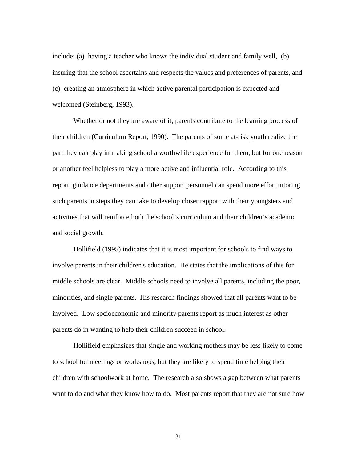include: (a) having a teacher who knows the individual student and family well, (b) insuring that the school ascertains and respects the values and preferences of parents, and (c) creating an atmosphere in which active parental participation is expected and welcomed (Steinberg, 1993).

Whether or not they are aware of it, parents contribute to the learning process of their children (Curriculum Report, 1990). The parents of some at-risk youth realize the part they can play in making school a worthwhile experience for them, but for one reason or another feel helpless to play a more active and influential role. According to this report, guidance departments and other support personnel can spend more effort tutoring such parents in steps they can take to develop closer rapport with their youngsters and activities that will reinforce both the school's curriculum and their children's academic and social growth.

 Hollifield (1995) indicates that it is most important for schools to find ways to involve parents in their children's education. He states that the implications of this for middle schools are clear. Middle schools need to involve all parents, including the poor, minorities, and single parents. His research findings showed that all parents want to be involved. Low socioeconomic and minority parents report as much interest as other parents do in wanting to help their children succeed in school.

Hollifield emphasizes that single and working mothers may be less likely to come to school for meetings or workshops, but they are likely to spend time helping their children with schoolwork at home. The research also shows a gap between what parents want to do and what they know how to do. Most parents report that they are not sure how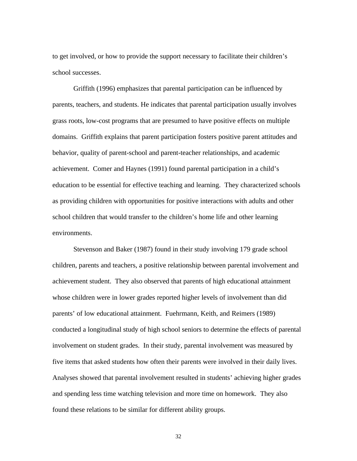to get involved, or how to provide the support necessary to facilitate their children's school successes.

Griffith (1996) emphasizes that parental participation can be influenced by parents, teachers, and students. He indicates that parental participation usually involves grass roots, low-cost programs that are presumed to have positive effects on multiple domains. Griffith explains that parent participation fosters positive parent attitudes and behavior, quality of parent-school and parent-teacher relationships, and academic achievement. Comer and Haynes (1991) found parental participation in a child's education to be essential for effective teaching and learning. They characterized schools as providing children with opportunities for positive interactions with adults and other school children that would transfer to the children's home life and other learning environments.

Stevenson and Baker (1987) found in their study involving 179 grade school children, parents and teachers, a positive relationship between parental involvement and achievement student. They also observed that parents of high educational attainment whose children were in lower grades reported higher levels of involvement than did parents' of low educational attainment. Fuehrmann, Keith, and Reimers (1989) conducted a longitudinal study of high school seniors to determine the effects of parental involvement on student grades. In their study, parental involvement was measured by five items that asked students how often their parents were involved in their daily lives. Analyses showed that parental involvement resulted in students' achieving higher grades and spending less time watching television and more time on homework. They also found these relations to be similar for different ability groups.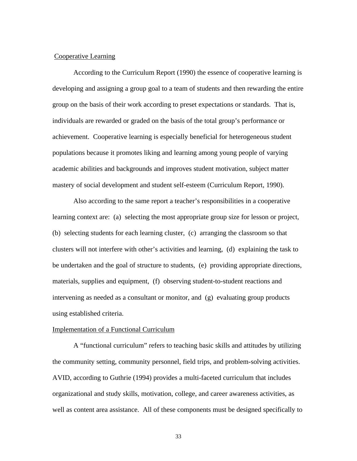## Cooperative Learning

According to the Curriculum Report (1990) the essence of cooperative learning is developing and assigning a group goal to a team of students and then rewarding the entire group on the basis of their work according to preset expectations or standards. That is, individuals are rewarded or graded on the basis of the total group's performance or achievement. Cooperative learning is especially beneficial for heterogeneous student populations because it promotes liking and learning among young people of varying academic abilities and backgrounds and improves student motivation, subject matter mastery of social development and student self-esteem (Curriculum Report, 1990).

Also according to the same report a teacher's responsibilities in a cooperative learning context are: (a) selecting the most appropriate group size for lesson or project, (b) selecting students for each learning cluster, (c) arranging the classroom so that clusters will not interfere with other's activities and learning, (d) explaining the task to be undertaken and the goal of structure to students, (e) providing appropriate directions, materials, supplies and equipment, (f) observing student-to-student reactions and intervening as needed as a consultant or monitor, and (g) evaluating group products using established criteria.

#### Implementation of a Functional Curriculum

A "functional curriculum" refers to teaching basic skills and attitudes by utilizing the community setting, community personnel, field trips, and problem-solving activities. AVID, according to Guthrie (1994) provides a multi-faceted curriculum that includes organizational and study skills, motivation, college, and career awareness activities, as well as content area assistance. All of these components must be designed specifically to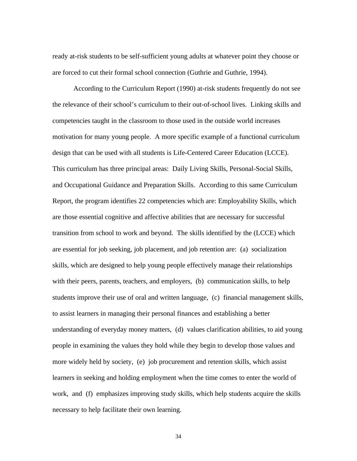ready at-risk students to be self-sufficient young adults at whatever point they choose or are forced to cut their formal school connection (Guthrie and Guthrie, 1994).

According to the Curriculum Report (1990) at-risk students frequently do not see the relevance of their school's curriculum to their out-of-school lives. Linking skills and competencies taught in the classroom to those used in the outside world increases motivation for many young people. A more specific example of a functional curriculum design that can be used with all students is Life-Centered Career Education (LCCE). This curriculum has three principal areas: Daily Living Skills, Personal-Social Skills, and Occupational Guidance and Preparation Skills. According to this same Curriculum Report, the program identifies 22 competencies which are: Employability Skills, which are those essential cognitive and affective abilities that are necessary for successful transition from school to work and beyond. The skills identified by the (LCCE) which are essential for job seeking, job placement, and job retention are: (a) socialization skills, which are designed to help young people effectively manage their relationships with their peers, parents, teachers, and employers, (b) communication skills, to help students improve their use of oral and written language, (c) financial management skills, to assist learners in managing their personal finances and establishing a better understanding of everyday money matters, (d) values clarification abilities, to aid young people in examining the values they hold while they begin to develop those values and more widely held by society, (e) job procurement and retention skills, which assist learners in seeking and holding employment when the time comes to enter the world of work, and (f) emphasizes improving study skills, which help students acquire the skills necessary to help facilitate their own learning.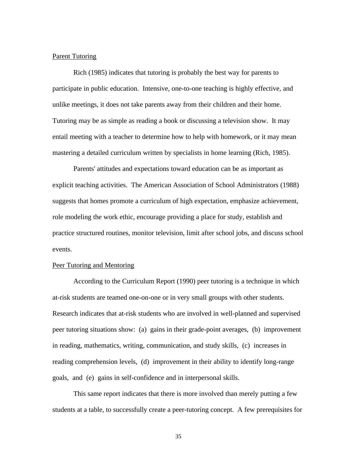## Parent Tutoring

Rich (1985) indicates that tutoring is probably the best way for parents to participate in public education. Intensive, one-to-one teaching is highly effective, and unlike meetings, it does not take parents away from their children and their home. Tutoring may be as simple as reading a book or discussing a television show. It may entail meeting with a teacher to determine how to help with homework, or it may mean mastering a detailed curriculum written by specialists in home learning (Rich, 1985).

Parents' attitudes and expectations toward education can be as important as explicit teaching activities. The American Association of School Administrators (1988) suggests that homes promote a curriculum of high expectation, emphasize achievement, role modeling the work ethic, encourage providing a place for study, establish and practice structured routines, monitor television, limit after school jobs, and discuss school events.

## Peer Tutoring and Mentoring

 According to the Curriculum Report (1990) peer tutoring is a technique in which at-risk students are teamed one-on-one or in very small groups with other students. Research indicates that at-risk students who are involved in well-planned and supervised peer tutoring situations show: (a) gains in their grade-point averages, (b) improvement in reading, mathematics, writing, communication, and study skills, (c) increases in reading comprehension levels, (d) improvement in their ability to identify long-range goals, and (e) gains in self-confidence and in interpersonal skills.

 This same report indicates that there is more involved than merely putting a few students at a table, to successfully create a peer-tutoring concept. A few prerequisites for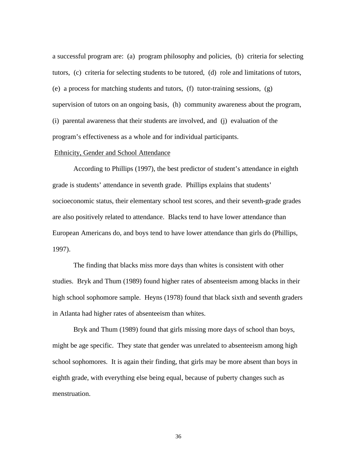a successful program are: (a) program philosophy and policies, (b) criteria for selecting tutors, (c) criteria for selecting students to be tutored, (d) role and limitations of tutors, (e) a process for matching students and tutors,  $(f)$  tutor-training sessions,  $(g)$ supervision of tutors on an ongoing basis, (h) community awareness about the program, (i) parental awareness that their students are involved, and (j) evaluation of the program's effectiveness as a whole and for individual participants.

## Ethnicity, Gender and School Attendance

According to Phillips (1997), the best predictor of student's attendance in eighth grade is students' attendance in seventh grade. Phillips explains that students' socioeconomic status, their elementary school test scores, and their seventh-grade grades are also positively related to attendance. Blacks tend to have lower attendance than European Americans do, and boys tend to have lower attendance than girls do (Phillips, 1997).

The finding that blacks miss more days than whites is consistent with other studies. Bryk and Thum (1989) found higher rates of absenteeism among blacks in their high school sophomore sample. Heyns (1978) found that black sixth and seventh graders in Atlanta had higher rates of absenteeism than whites.

Bryk and Thum (1989) found that girls missing more days of school than boys, might be age specific. They state that gender was unrelated to absenteeism among high school sophomores. It is again their finding, that girls may be more absent than boys in eighth grade, with everything else being equal, because of puberty changes such as menstruation.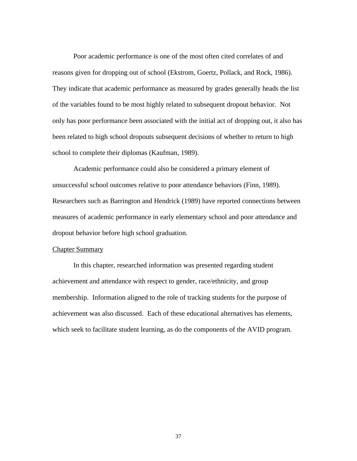Poor academic performance is one of the most often cited correlates of and reasons given for dropping out of school (Ekstrom, Goertz, Pollack, and Rock, 1986). They indicate that academic performance as measured by grades generally heads the list of the variables found to be most highly related to subsequent dropout behavior. Not only has poor performance been associated with the initial act of dropping out, it also has been related to high school dropouts subsequent decisions of whether to return to high school to complete their diplomas (Kaufman, 1989).

Academic performance could also be considered a primary element of unsuccessful school outcomes relative to poor attendance behaviors (Finn, 1989). Researchers such as Barrington and Hendrick (1989) have reported connections between measures of academic performance in early elementary school and poor attendance and dropout behavior before high school graduation.

## Chapter Summary

In this chapter, researched information was presented regarding student achievement and attendance with respect to gender, race/ethnicity, and group membership. Information aligned to the role of tracking students for the purpose of achievement was also discussed. Each of these educational alternatives has elements, which seek to facilitate student learning, as do the components of the AVID program.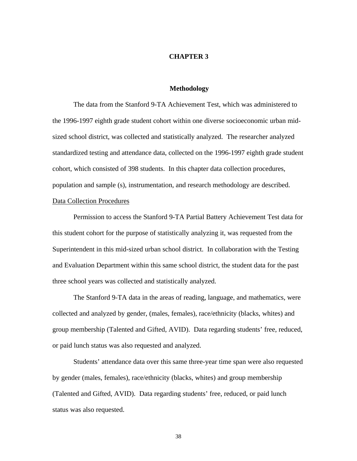#### **CHAPTER 3**

#### **Methodology**

The data from the Stanford 9-TA Achievement Test, which was administered to the 1996-1997 eighth grade student cohort within one diverse socioeconomic urban midsized school district, was collected and statistically analyzed. The researcher analyzed standardized testing and attendance data, collected on the 1996-1997 eighth grade student cohort, which consisted of 398 students. In this chapter data collection procedures, population and sample (s), instrumentation, and research methodology are described. Data Collection Procedures

Permission to access the Stanford 9-TA Partial Battery Achievement Test data for this student cohort for the purpose of statistically analyzing it, was requested from the Superintendent in this mid-sized urban school district. In collaboration with the Testing and Evaluation Department within this same school district, the student data for the past three school years was collected and statistically analyzed.

The Stanford 9-TA data in the areas of reading, language, and mathematics, were collected and analyzed by gender, (males, females), race/ethnicity (blacks, whites) and group membership (Talented and Gifted, AVID). Data regarding students' free, reduced, or paid lunch status was also requested and analyzed.

 Students' attendance data over this same three-year time span were also requested by gender (males, females), race/ethnicity (blacks, whites) and group membership (Talented and Gifted, AVID). Data regarding students' free, reduced, or paid lunch status was also requested.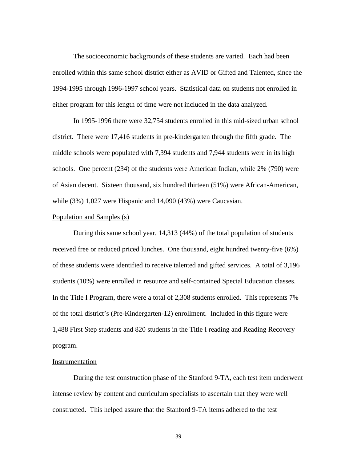The socioeconomic backgrounds of these students are varied. Each had been enrolled within this same school district either as AVID or Gifted and Talented, since the 1994-1995 through 1996-1997 school years. Statistical data on students not enrolled in either program for this length of time were not included in the data analyzed.

In 1995-1996 there were 32,754 students enrolled in this mid-sized urban school district. There were 17,416 students in pre-kindergarten through the fifth grade. The middle schools were populated with 7,394 students and 7,944 students were in its high schools. One percent (234) of the students were American Indian, while 2% (790) were of Asian decent. Sixteen thousand, six hundred thirteen (51%) were African-American, while (3%) 1,027 were Hispanic and 14,090 (43%) were Caucasian.

#### Population and Samples (s)

During this same school year, 14,313 (44%) of the total population of students received free or reduced priced lunches. One thousand, eight hundred twenty-five (6%) of these students were identified to receive talented and gifted services. A total of 3,196 students (10%) were enrolled in resource and self-contained Special Education classes. In the Title I Program, there were a total of 2,308 students enrolled. This represents 7% of the total district's (Pre-Kindergarten-12) enrollment. Included in this figure were 1,488 First Step students and 820 students in the Title I reading and Reading Recovery program.

## Instrumentation

During the test construction phase of the Stanford 9-TA, each test item underwent intense review by content and curriculum specialists to ascertain that they were well constructed. This helped assure that the Stanford 9-TA items adhered to the test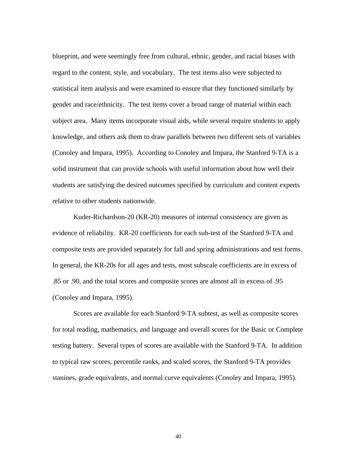blueprint, and were seemingly free from cultural, ethnic, gender, and racial biases with regard to the content, style, and vocabulary. The test items also were subjected to statistical item analysis and were examined to ensure that they functioned similarly by gender and race/ethnicity. The test items cover a broad range of material within each subject area. Many items incorporate visual aids, while several require students to apply knowledge, and others ask them to draw parallels between two different sets of variables (Conoley and Impara, 1995). According to Conoley and Impara, the Stanford 9-TA is a solid instrument that can provide schools with useful information about how well their students are satisfying the desired outcomes specified by curriculum and content experts relative to other students nationwide.

 Kuder-Richardson-20 (KR-20) measures of internal consistency are given as evidence of reliability. KR-20 coefficients for each sub-test of the Stanford 9-TA and composite tests are provided separately for fall and spring administrations and test forms. In general, the KR-20s for all ages and tests, most subscale coefficients are in excess of .85 or .90, and the total scores and composite scores are almost all in excess of .95 (Conoley and Impara, 1995).

 Scores are available for each Stanford 9-TA subtest, as well as composite scores for total reading, mathematics, and language and overall scores for the Basic or Complete testing battery. Several types of scores are available with the Stanford 9-TA. In addition to typical raw scores, percentile ranks, and scaled scores, the Stanford 9-TA provides stanines, grade equivalents, and normal curve equivalents (Conoley and Impara, 1995).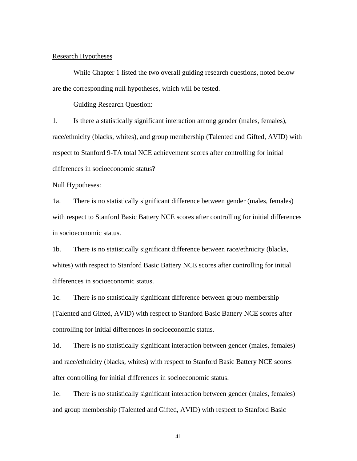## Research Hypotheses

While Chapter 1 listed the two overall guiding research questions, noted below are the corresponding null hypotheses, which will be tested.

Guiding Research Question:

1. Is there a statistically significant interaction among gender (males, females), race/ethnicity (blacks, whites), and group membership (Talented and Gifted, AVID) with respect to Stanford 9-TA total NCE achievement scores after controlling for initial differences in socioeconomic status?

Null Hypotheses:

1a. There is no statistically significant difference between gender (males, females) with respect to Stanford Basic Battery NCE scores after controlling for initial differences in socioeconomic status.

1b. There is no statistically significant difference between race/ethnicity (blacks, whites) with respect to Stanford Basic Battery NCE scores after controlling for initial differences in socioeconomic status.

1c. There is no statistically significant difference between group membership (Talented and Gifted, AVID) with respect to Stanford Basic Battery NCE scores after controlling for initial differences in socioeconomic status.

1d. There is no statistically significant interaction between gender (males, females) and race/ethnicity (blacks, whites) with respect to Stanford Basic Battery NCE scores after controlling for initial differences in socioeconomic status.

1e. There is no statistically significant interaction between gender (males, females) and group membership (Talented and Gifted, AVID) with respect to Stanford Basic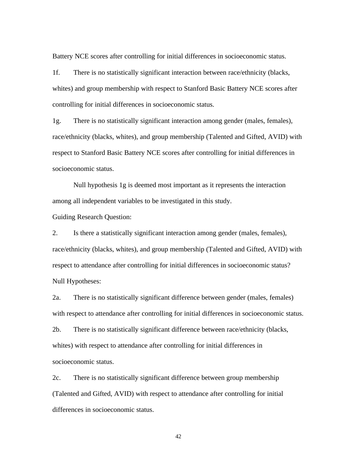Battery NCE scores after controlling for initial differences in socioeconomic status.

1f. There is no statistically significant interaction between race/ethnicity (blacks, whites) and group membership with respect to Stanford Basic Battery NCE scores after controlling for initial differences in socioeconomic status.

1g. There is no statistically significant interaction among gender (males, females), race/ethnicity (blacks, whites), and group membership (Talented and Gifted, AVID) with respect to Stanford Basic Battery NCE scores after controlling for initial differences in socioeconomic status.

Null hypothesis 1g is deemed most important as it represents the interaction among all independent variables to be investigated in this study.

Guiding Research Question:

2. Is there a statistically significant interaction among gender (males, females), race/ethnicity (blacks, whites), and group membership (Talented and Gifted, AVID) with respect to attendance after controlling for initial differences in socioeconomic status? Null Hypotheses:

2a. There is no statistically significant difference between gender (males, females) with respect to attendance after controlling for initial differences in socioeconomic status.

2b. There is no statistically significant difference between race/ethnicity (blacks, whites) with respect to attendance after controlling for initial differences in socioeconomic status.

2c. There is no statistically significant difference between group membership (Talented and Gifted, AVID) with respect to attendance after controlling for initial differences in socioeconomic status.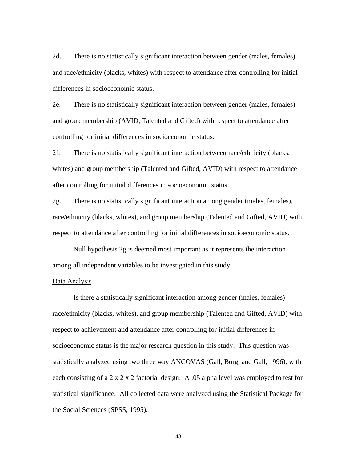2d. There is no statistically significant interaction between gender (males, females) and race/ethnicity (blacks, whites) with respect to attendance after controlling for initial differences in socioeconomic status.

2e. There is no statistically significant interaction between gender (males, females) and group membership (AVID, Talented and Gifted) with respect to attendance after controlling for initial differences in socioeconomic status.

2f. There is no statistically significant interaction between race/ethnicity (blacks, whites) and group membership (Talented and Gifted, AVID) with respect to attendance after controlling for initial differences in socioeconomic status.

2g. There is no statistically significant interaction among gender (males, females), race/ethnicity (blacks, whites), and group membership (Talented and Gifted, AVID) with respect to attendance after controlling for initial differences in socioeconomic status.

Null hypothesis 2g is deemed most important as it represents the interaction among all independent variables to be investigated in this study.

### Data Analysis

Is there a statistically significant interaction among gender (males, females) race/ethnicity (blacks, whites), and group membership (Talented and Gifted, AVID) with respect to achievement and attendance after controlling for initial differences in socioeconomic status is the major research question in this study. This question was statistically analyzed using two three way ANCOVAS (Gall, Borg, and Gall, 1996), with each consisting of a 2 x 2 x 2 factorial design. A .05 alpha level was employed to test for statistical significance. All collected data were analyzed using the Statistical Package for the Social Sciences (SPSS, 1995).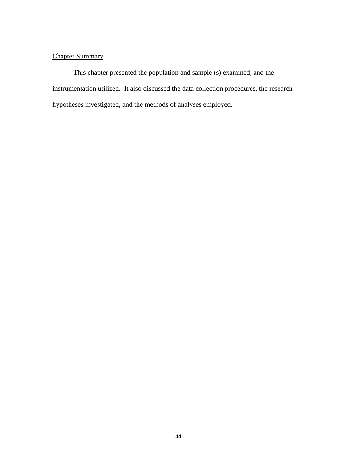# Chapter Summary

 This chapter presented the population and sample (s) examined, and the instrumentation utilized. It also discussed the data collection procedures, the research hypotheses investigated, and the methods of analyses employed.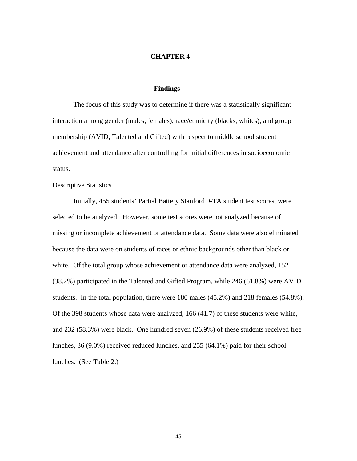#### **CHAPTER 4**

## **Findings**

The focus of this study was to determine if there was a statistically significant interaction among gender (males, females), race/ethnicity (blacks, whites), and group membership (AVID, Talented and Gifted) with respect to middle school student achievement and attendance after controlling for initial differences in socioeconomic status.

#### **Descriptive Statistics**

Initially, 455 students' Partial Battery Stanford 9-TA student test scores, were selected to be analyzed. However, some test scores were not analyzed because of missing or incomplete achievement or attendance data. Some data were also eliminated because the data were on students of races or ethnic backgrounds other than black or white. Of the total group whose achievement or attendance data were analyzed, 152 (38.2%) participated in the Talented and Gifted Program, while 246 (61.8%) were AVID students. In the total population, there were 180 males (45.2%) and 218 females (54.8%). Of the 398 students whose data were analyzed, 166 (41.7) of these students were white, and 232 (58.3%) were black. One hundred seven (26.9%) of these students received free lunches, 36 (9.0%) received reduced lunches, and 255 (64.1%) paid for their school lunches. (See Table 2.)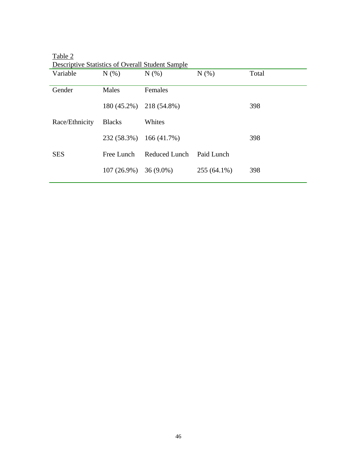| Descriptive Statistics of Overall Student Sample |               |                         |               |       |
|--------------------------------------------------|---------------|-------------------------|---------------|-------|
| Variable                                         | N(% )         | N(% )                   | N(% )         | Total |
|                                                  |               |                         |               |       |
| Gender                                           | Males         | Females                 |               |       |
|                                                  |               |                         |               |       |
|                                                  |               | 180 (45.2%) 218 (54.8%) |               | 398   |
|                                                  |               |                         |               |       |
| Race/Ethnicity                                   | <b>Blacks</b> | Whites                  |               |       |
|                                                  |               |                         |               |       |
|                                                  | 232 (58.3%)   | 166(41.7%)              |               | 398   |
|                                                  |               |                         |               |       |
| <b>SES</b>                                       | Free Lunch    | Reduced Lunch           | Paid Lunch    |       |
|                                                  |               |                         |               |       |
|                                                  | $107(26.9\%)$ | $36(9.0\%)$             | $255(64.1\%)$ | 398   |
|                                                  |               |                         |               |       |

Table 2 Descriptive Statistics of Overall Student Sample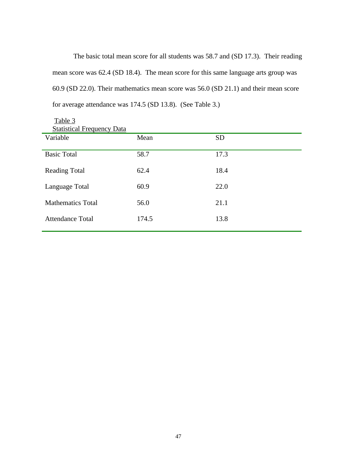The basic total mean score for all students was 58.7 and (SD 17.3). Their reading mean score was 62.4 (SD 18.4). The mean score for this same language arts group was 60.9 (SD 22.0). Their mathematics mean score was 56.0 (SD 21.1) and their mean score for average attendance was 174.5 (SD 13.8). (See Table 3.)

| Variable                 | Mean  | <b>SD</b> |
|--------------------------|-------|-----------|
| <b>Basic Total</b>       | 58.7  | 17.3      |
| <b>Reading Total</b>     | 62.4  | 18.4      |
| Language Total           | 60.9  | 22.0      |
| <b>Mathematics Total</b> | 56.0  | 21.1      |
| <b>Attendance Total</b>  | 174.5 | 13.8      |
|                          |       |           |

Table 3 **Statistical Frequency Data**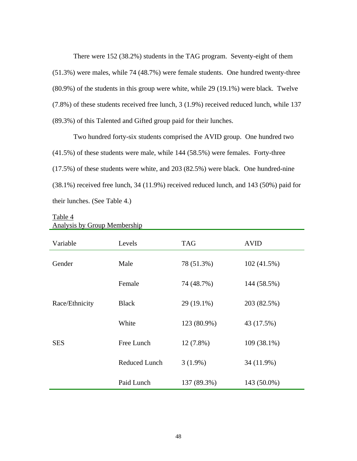There were 152 (38.2%) students in the TAG program. Seventy-eight of them (51.3%) were males, while 74 (48.7%) were female students. One hundred twenty-three (80.9%) of the students in this group were white, while 29 (19.1%) were black. Twelve (7.8%) of these students received free lunch, 3 (1.9%) received reduced lunch, while 137 (89.3%) of this Talented and Gifted group paid for their lunches.

Two hundred forty-six students comprised the AVID group. One hundred two (41.5%) of these students were male, while 144 (58.5%) were females. Forty-three (17.5%) of these students were white, and 203 (82.5%) were black. One hundred-nine (38.1%) received free lunch, 34 (11.9%) received reduced lunch, and 143 (50%) paid for their lunches. (See Table 4.)

| Variable       | Levels               | <b>TAG</b>  | <b>AVID</b> |
|----------------|----------------------|-------------|-------------|
| Gender         | Male                 | 78 (51.3%)  | 102(41.5%)  |
|                | Female               | 74 (48.7%)  | 144 (58.5%) |
| Race/Ethnicity | <b>Black</b>         | 29 (19.1%)  | 203 (82.5%) |
|                | White                | 123 (80.9%) | 43 (17.5%)  |
| <b>SES</b>     | Free Lunch           | $12(7.8\%)$ | 109 (38.1%) |
|                | <b>Reduced Lunch</b> | $3(1.9\%)$  | 34 (11.9%)  |
|                | Paid Lunch           | 137 (89.3%) | 143 (50.0%) |

## Table 4 Analysis by Group Membership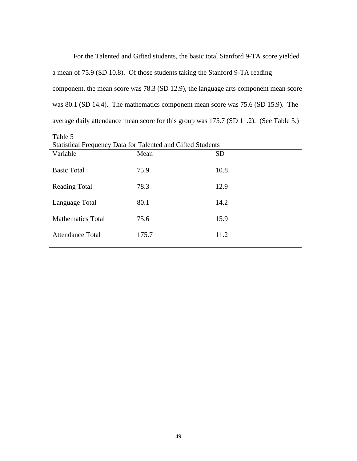For the Talented and Gifted students, the basic total Stanford 9-TA score yielded a mean of 75.9 (SD 10.8). Of those students taking the Stanford 9-TA reading component, the mean score was 78.3 (SD 12.9), the language arts component mean score was 80.1 (SD 14.4). The mathematics component mean score was 75.6 (SD 15.9). The average daily attendance mean score for this group was 175.7 (SD 11.2). (See Table 5.)

| <b>Statistical Frequency Data for Talented and Gifted Students</b> |       |           |  |  |
|--------------------------------------------------------------------|-------|-----------|--|--|
| Variable                                                           | Mean  | <b>SD</b> |  |  |
|                                                                    |       |           |  |  |
| <b>Basic Total</b>                                                 | 75.9  | 10.8      |  |  |
| <b>Reading Total</b>                                               | 78.3  | 12.9      |  |  |
|                                                                    |       |           |  |  |
| Language Total                                                     | 80.1  | 14.2      |  |  |
| <b>Mathematics Total</b>                                           | 75.6  | 15.9      |  |  |
|                                                                    |       |           |  |  |
| <b>Attendance Total</b>                                            | 175.7 | 11.2      |  |  |
|                                                                    |       |           |  |  |

Table 5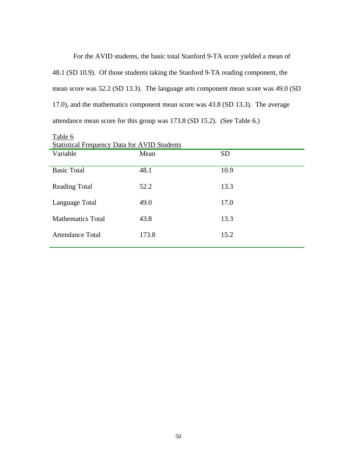For the AVID students, the basic total Stanford 9-TA score yielded a mean of 48.1 (SD 10.9). Of those students taking the Stanford 9-TA reading component, the mean score was 52.2 (SD 13.3). The language arts component mean score was 49.0 (SD 17.0), and the mathematics component mean score was 43.8 (SD 13.3). The average attendance mean score for this group was 173.8 (SD 15.2). (See Table 6.)

| <b>Statistical Frequency Data for AVID Students</b> |       |           |  |  |
|-----------------------------------------------------|-------|-----------|--|--|
| Variable                                            | Mean  | <b>SD</b> |  |  |
| <b>Basic Total</b>                                  | 48.1  | 10.9      |  |  |
|                                                     |       |           |  |  |
| <b>Reading Total</b>                                | 52.2  | 13.3      |  |  |
|                                                     |       |           |  |  |
| Language Total                                      | 49.0  | 17.0      |  |  |
| <b>Mathematics Total</b>                            | 43.8  | 13.3      |  |  |
|                                                     |       |           |  |  |
| Attendance Total                                    | 173.8 | 15.2      |  |  |
|                                                     |       |           |  |  |

Table 6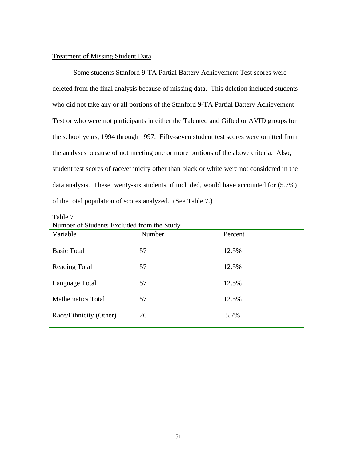## Treatment of Missing Student Data

Some students Stanford 9-TA Partial Battery Achievement Test scores were deleted from the final analysis because of missing data. This deletion included students who did not take any or all portions of the Stanford 9-TA Partial Battery Achievement Test or who were not participants in either the Talented and Gifted or AVID groups for the school years, 1994 through 1997. Fifty-seven student test scores were omitted from the analyses because of not meeting one or more portions of the above criteria. Also, student test scores of race/ethnicity other than black or white were not considered in the data analysis. These twenty-six students, if included, would have accounted for (5.7%) of the total population of scores analyzed. (See Table 7.)

| Number of Students Excluded from the Study |        |         |  |  |
|--------------------------------------------|--------|---------|--|--|
| Variable                                   | Number | Percent |  |  |
|                                            |        |         |  |  |
| <b>Basic Total</b>                         | 57     | 12.5%   |  |  |
| <b>Reading Total</b>                       | 57     | 12.5%   |  |  |
|                                            |        |         |  |  |
| Language Total                             | 57     | 12.5%   |  |  |
| <b>Mathematics Total</b>                   | 57     | 12.5%   |  |  |
| Race/Ethnicity (Other)                     | 26     | 5.7%    |  |  |
|                                            |        |         |  |  |

Table 7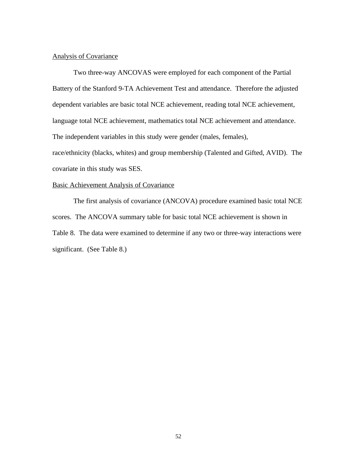## Analysis of Covariance

Two three-way ANCOVAS were employed for each component of the Partial Battery of the Stanford 9-TA Achievement Test and attendance. Therefore the adjusted dependent variables are basic total NCE achievement, reading total NCE achievement, language total NCE achievement, mathematics total NCE achievement and attendance. The independent variables in this study were gender (males, females), race/ethnicity (blacks, whites) and group membership (Talented and Gifted, AVID). The covariate in this study was SES.

## Basic Achievement Analysis of Covariance

The first analysis of covariance (ANCOVA) procedure examined basic total NCE scores. The ANCOVA summary table for basic total NCE achievement is shown in Table 8. The data were examined to determine if any two or three-way interactions were significant. (See Table 8.)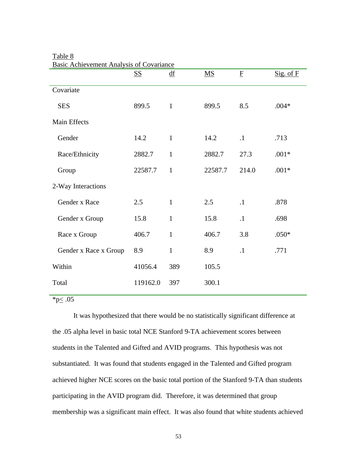|                       | <b>SS</b> | $\underline{df}$ | $\underline{\mathbf{M}}\underline{\mathbf{S}}$ | $\mathbf F$ | $Sig.$ of $F$ |
|-----------------------|-----------|------------------|------------------------------------------------|-------------|---------------|
| Covariate             |           |                  |                                                |             |               |
| <b>SES</b>            | 899.5     | $\mathbf{1}$     | 899.5                                          | 8.5         | $.004*$       |
| <b>Main Effects</b>   |           |                  |                                                |             |               |
| Gender                | 14.2      | $\mathbf{1}$     | 14.2                                           | $\cdot$ 1   | .713          |
| Race/Ethnicity        | 2882.7    | $\mathbf{1}$     | 2882.7                                         | 27.3        | $.001*$       |
| Group                 | 22587.7   | $\mathbf{1}$     | 22587.7                                        | 214.0       | $.001*$       |
| 2-Way Interactions    |           |                  |                                                |             |               |
| Gender x Race         | 2.5       | $\mathbf{1}$     | 2.5                                            | $\cdot$ 1   | .878          |
| Gender x Group        | 15.8      | $\mathbf{1}$     | 15.8                                           | $\cdot$ 1   | .698          |
| Race x Group          | 406.7     | $\mathbf{1}$     | 406.7                                          | 3.8         | $.050*$       |
| Gender x Race x Group | 8.9       | $\mathbf{1}$     | 8.9                                            | $\cdot$ 1   | .771          |
| Within                | 41056.4   | 389              | 105.5                                          |             |               |
| Total                 | 119162.0  | 397              | 300.1                                          |             |               |

## Table 8 Basic Achievement Analysis of Covariance

 $*p \leq .05$ 

It was hypothesized that there would be no statistically significant difference at the .05 alpha level in basic total NCE Stanford 9-TA achievement scores between students in the Talented and Gifted and AVID programs. This hypothesis was not substantiated. It was found that students engaged in the Talented and Gifted program achieved higher NCE scores on the basic total portion of the Stanford 9-TA than students participating in the AVID program did. Therefore, it was determined that group membership was a significant main effect. It was also found that white students achieved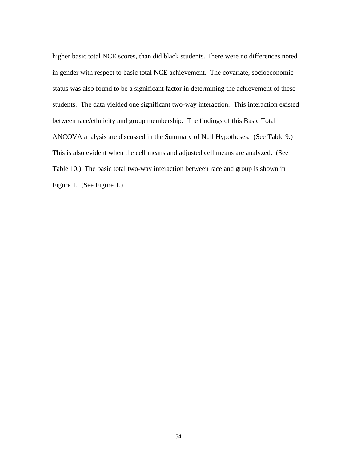higher basic total NCE scores, than did black students. There were no differences noted in gender with respect to basic total NCE achievement. The covariate, socioeconomic status was also found to be a significant factor in determining the achievement of these students. The data yielded one significant two-way interaction. This interaction existed between race/ethnicity and group membership. The findings of this Basic Total ANCOVA analysis are discussed in the Summary of Null Hypotheses. (See Table 9.) This is also evident when the cell means and adjusted cell means are analyzed. (See Table 10.) The basic total two-way interaction between race and group is shown in Figure 1. (See Figure 1.)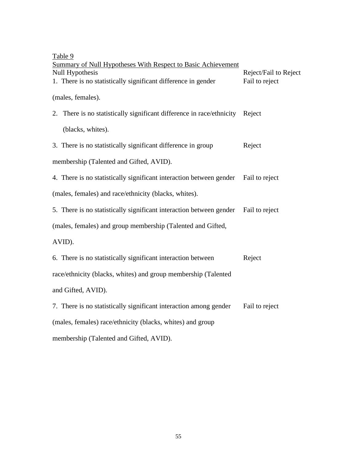| Table 9<br>Summary of Null Hypotheses With Respect to Basic Achievement<br><b>Null Hypothesis</b><br>1. There is no statistically significant difference in gender | Reject/Fail to Reject<br>Fail to reject |  |  |  |
|--------------------------------------------------------------------------------------------------------------------------------------------------------------------|-----------------------------------------|--|--|--|
| (males, females).                                                                                                                                                  |                                         |  |  |  |
| 2. There is no statistically significant difference in race/ethnicity                                                                                              | Reject                                  |  |  |  |
| (blacks, whites).                                                                                                                                                  |                                         |  |  |  |
| 3. There is no statistically significant difference in group                                                                                                       | Reject                                  |  |  |  |
| membership (Talented and Gifted, AVID).                                                                                                                            |                                         |  |  |  |
| 4. There is no statistically significant interaction between gender                                                                                                | Fail to reject                          |  |  |  |
| (males, females) and race/ethnicity (blacks, whites).                                                                                                              |                                         |  |  |  |
| 5. There is no statistically significant interaction between gender                                                                                                | Fail to reject                          |  |  |  |
| (males, females) and group membership (Talented and Gifted,                                                                                                        |                                         |  |  |  |
| AVID).                                                                                                                                                             |                                         |  |  |  |
| 6. There is no statistically significant interaction between                                                                                                       | Reject                                  |  |  |  |
| race/ethnicity (blacks, whites) and group membership (Talented                                                                                                     |                                         |  |  |  |
| and Gifted, AVID).                                                                                                                                                 |                                         |  |  |  |
| 7. There is no statistically significant interaction among gender                                                                                                  | Fail to reject                          |  |  |  |
| (males, females) race/ethnicity (blacks, whites) and group                                                                                                         |                                         |  |  |  |
| membership (Talented and Gifted, AVID).                                                                                                                            |                                         |  |  |  |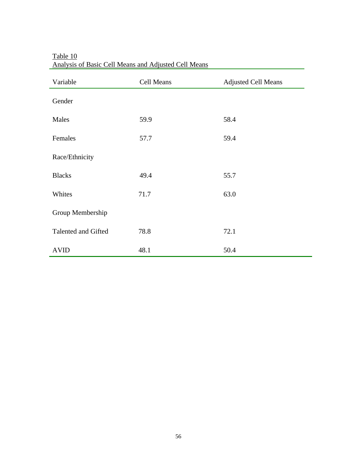| Variable            | Cell Means | <b>Adjusted Cell Means</b> |
|---------------------|------------|----------------------------|
| Gender              |            |                            |
| Males               | 59.9       | 58.4                       |
| Females             | 57.7       | 59.4                       |
| Race/Ethnicity      |            |                            |
| <b>Blacks</b>       | 49.4       | 55.7                       |
| Whites              | 71.7       | 63.0                       |
| Group Membership    |            |                            |
| Talented and Gifted | 78.8       | 72.1                       |
| <b>AVID</b>         | 48.1       | 50.4                       |

Table 10 Analysis of Basic Cell Means and Adjusted Cell Means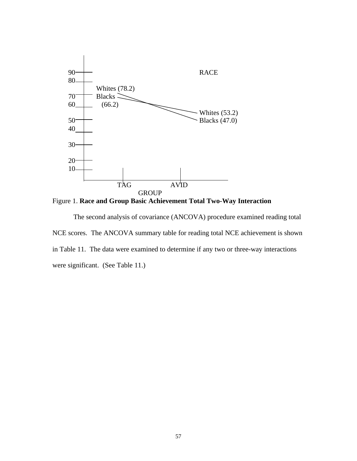

Figure 1. **Race and Group Basic Achievement Total Two-Way Interaction**

The second analysis of covariance (ANCOVA) procedure examined reading total NCE scores. The ANCOVA summary table for reading total NCE achievement is shown in Table 11. The data were examined to determine if any two or three-way interactions were significant. (See Table 11.)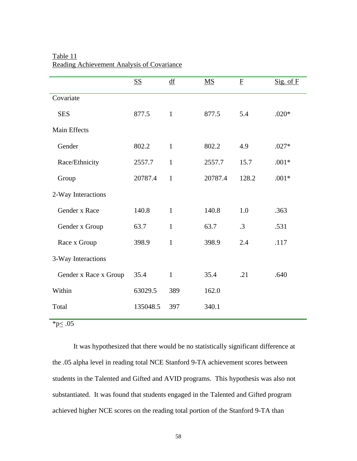|                       | $S_{\mathcal{S}}$ | $\underline{df}$ | MS      | $\overline{E}$ | $Sig.$ of $F$ |
|-----------------------|-------------------|------------------|---------|----------------|---------------|
| Covariate             |                   |                  |         |                |               |
| <b>SES</b>            | 877.5             | $\mathbf{1}$     | 877.5   | 5.4            | $.020*$       |
| <b>Main Effects</b>   |                   |                  |         |                |               |
| Gender                | 802.2             | $\mathbf{1}$     | 802.2   | 4.9            | $.027*$       |
| Race/Ethnicity        | 2557.7            | $\mathbf{1}$     | 2557.7  | 15.7           | $.001*$       |
| Group                 | 20787.4           | $\mathbf{1}$     | 20787.4 | 128.2          | $.001*$       |
| 2-Way Interactions    |                   |                  |         |                |               |
| Gender x Race         | 140.8             | $\mathbf{1}$     | 140.8   | 1.0            | .363          |
| Gender x Group        | 63.7              | $\mathbf{1}$     | 63.7    | $\cdot$ 3      | .531          |
| Race x Group          | 398.9             | $\mathbf{1}$     | 398.9   | 2.4            | .117          |
| 3-Way Interactions    |                   |                  |         |                |               |
| Gender x Race x Group | 35.4              | $\mathbf{1}$     | 35.4    | .21            | .640          |
| Within                | 63029.5           | 389              | 162.0   |                |               |
| Total                 | 135048.5          | 397              | 340.1   |                |               |
|                       |                   |                  |         |                |               |

# Table 11 Reading Achievement Analysis of Covariance

 $*p \le .05$ 

It was hypothesized that there would be no statistically significant difference at the .05 alpha level in reading total NCE Stanford 9-TA achievement scores between students in the Talented and Gifted and AVID programs. This hypothesis was also not substantiated. It was found that students engaged in the Talented and Gifted program achieved higher NCE scores on the reading total portion of the Stanford 9-TA than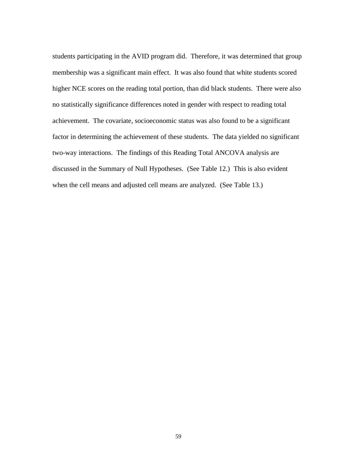students participating in the AVID program did. Therefore, it was determined that group membership was a significant main effect. It was also found that white students scored higher NCE scores on the reading total portion, than did black students. There were also no statistically significance differences noted in gender with respect to reading total achievement. The covariate, socioeconomic status was also found to be a significant factor in determining the achievement of these students. The data yielded no significant two-way interactions. The findings of this Reading Total ANCOVA analysis are discussed in the Summary of Null Hypotheses. (See Table 12.) This is also evident when the cell means and adjusted cell means are analyzed. (See Table 13.)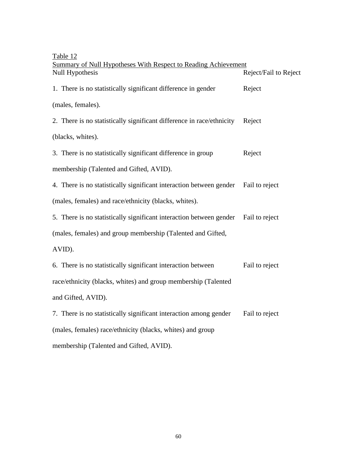| Table 12                                                              |                       |
|-----------------------------------------------------------------------|-----------------------|
| Summary of Null Hypotheses With Respect to Reading Achievement        |                       |
| Null Hypothesis                                                       | Reject/Fail to Reject |
| 1. There is no statistically significant difference in gender         | Reject                |
| (males, females).                                                     |                       |
| 2. There is no statistically significant difference in race/ethnicity | Reject                |
| (blacks, whites).                                                     |                       |
| 3. There is no statistically significant difference in group          | Reject                |
| membership (Talented and Gifted, AVID).                               |                       |
| 4. There is no statistically significant interaction between gender   | Fail to reject        |
| (males, females) and race/ethnicity (blacks, whites).                 |                       |
| 5. There is no statistically significant interaction between gender   | Fail to reject        |
| (males, females) and group membership (Talented and Gifted,           |                       |
| AVID).                                                                |                       |
| 6. There is no statistically significant interaction between          | Fail to reject        |
| race/ethnicity (blacks, whites) and group membership (Talented        |                       |
| and Gifted, AVID).                                                    |                       |
| 7. There is no statistically significant interaction among gender     | Fail to reject        |
| (males, females) race/ethnicity (blacks, whites) and group            |                       |
| membership (Talented and Gifted, AVID).                               |                       |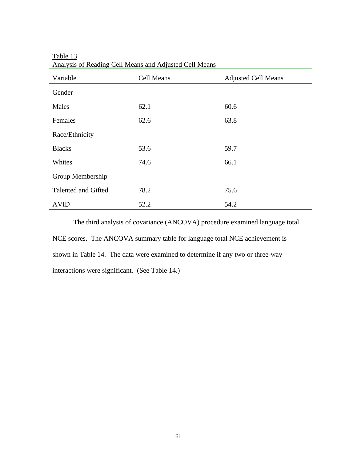| Variable            | Cell Means | <b>Adjusted Cell Means</b> |  |
|---------------------|------------|----------------------------|--|
| Gender              |            |                            |  |
| Males               | 62.1       | 60.6                       |  |
| Females             | 62.6       | 63.8                       |  |
| Race/Ethnicity      |            |                            |  |
| <b>Blacks</b>       | 53.6       | 59.7                       |  |
| Whites              | 74.6       | 66.1                       |  |
| Group Membership    |            |                            |  |
| Talented and Gifted | 78.2       | 75.6                       |  |
| <b>AVID</b>         | 52.2       | 54.2                       |  |

Table 13 Analysis of Reading Cell Means and Adjusted Cell Means

The third analysis of covariance (ANCOVA) procedure examined language total NCE scores. The ANCOVA summary table for language total NCE achievement is shown in Table 14. The data were examined to determine if any two or three-way interactions were significant. (See Table 14.)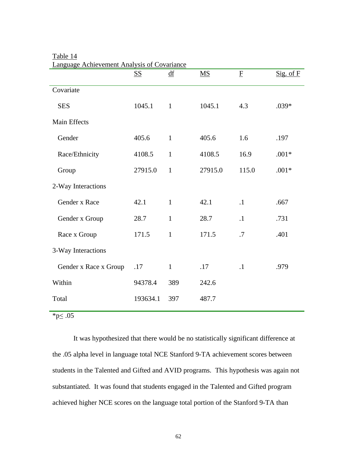|                       | <b>SS</b> | $\underline{df}$ | $\overline{\text{MS}}$ | $\overline{\mathrm{E}}$ | Sig. of F |
|-----------------------|-----------|------------------|------------------------|-------------------------|-----------|
| Covariate             |           |                  |                        |                         |           |
| <b>SES</b>            | 1045.1    | $\mathbf{1}$     | 1045.1                 | 4.3                     | $.039*$   |
| Main Effects          |           |                  |                        |                         |           |
| Gender                | 405.6     | $\mathbf{1}$     | 405.6                  | 1.6                     | .197      |
| Race/Ethnicity        | 4108.5    | $\mathbf{1}$     | 4108.5                 | 16.9                    | $.001*$   |
| Group                 | 27915.0   | $\mathbf{1}$     | 27915.0                | 115.0                   | $.001*$   |
| 2-Way Interactions    |           |                  |                        |                         |           |
| Gender x Race         | 42.1      | $\mathbf{1}$     | 42.1                   | $\cdot$ 1               | .667      |
| Gender x Group        | 28.7      | $\mathbf{1}$     | 28.7                   | $\cdot$ 1               | .731      |
| Race x Group          | 171.5     | $\mathbf{1}$     | 171.5                  | .7                      | .401      |
| 3-Way Interactions    |           |                  |                        |                         |           |
| Gender x Race x Group | .17       | $\mathbf{1}$     | .17                    | $\cdot$ 1               | .979      |
| Within                | 94378.4   | 389              | 242.6                  |                         |           |
| Total                 | 193634.1  | 397              | 487.7                  |                         |           |
|                       |           |                  |                        |                         |           |

Table 14 Language Achievement Analysis of Covariance

 $*p \leq .05$ 

It was hypothesized that there would be no statistically significant difference at the .05 alpha level in language total NCE Stanford 9-TA achievement scores between students in the Talented and Gifted and AVID programs. This hypothesis was again not substantiated. It was found that students engaged in the Talented and Gifted program achieved higher NCE scores on the language total portion of the Stanford 9-TA than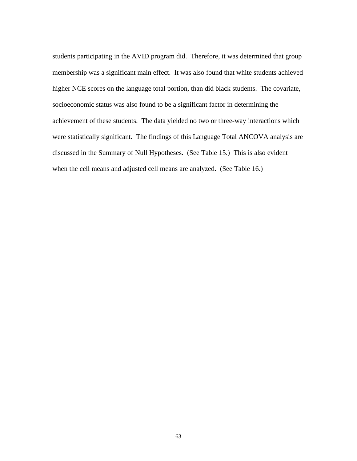students participating in the AVID program did. Therefore, it was determined that group membership was a significant main effect. It was also found that white students achieved higher NCE scores on the language total portion, than did black students. The covariate, socioeconomic status was also found to be a significant factor in determining the achievement of these students. The data yielded no two or three-way interactions which were statistically significant. The findings of this Language Total ANCOVA analysis are discussed in the Summary of Null Hypotheses. (See Table 15.) This is also evident when the cell means and adjusted cell means are analyzed. (See Table 16.)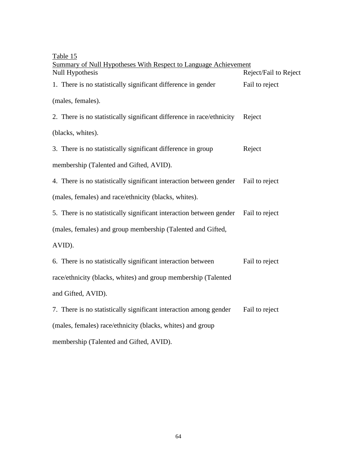| Table 15                                                                                  |                       |
|-------------------------------------------------------------------------------------------|-----------------------|
| <b>Summary of Null Hypotheses With Respect to Language Achievement</b><br>Null Hypothesis | Reject/Fail to Reject |
| 1. There is no statistically significant difference in gender                             | Fail to reject        |
| (males, females).                                                                         |                       |
| 2. There is no statistically significant difference in race/ethnicity                     | Reject                |
| (blacks, whites).                                                                         |                       |
| 3. There is no statistically significant difference in group                              | Reject                |
| membership (Talented and Gifted, AVID).                                                   |                       |
| 4. There is no statistically significant interaction between gender                       | Fail to reject        |
| (males, females) and race/ethnicity (blacks, whites).                                     |                       |
| 5. There is no statistically significant interaction between gender                       | Fail to reject        |
| (males, females) and group membership (Talented and Gifted,                               |                       |
| AVID).                                                                                    |                       |
| 6. There is no statistically significant interaction between                              | Fail to reject        |
| race/ethnicity (blacks, whites) and group membership (Talented                            |                       |
| and Gifted, AVID).                                                                        |                       |
| 7. There is no statistically significant interaction among gender                         | Fail to reject        |
| (males, females) race/ethnicity (blacks, whites) and group                                |                       |
| membership (Talented and Gifted, AVID).                                                   |                       |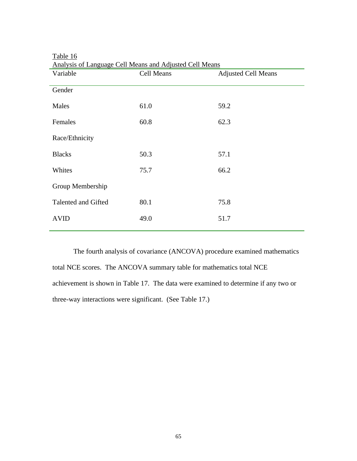| Variable            | Cell Means | <b>Adjusted Cell Means</b> |
|---------------------|------------|----------------------------|
| Gender              |            |                            |
| Males               | 61.0       | 59.2                       |
| Females             | 60.8       | 62.3                       |
| Race/Ethnicity      |            |                            |
| <b>Blacks</b>       | 50.3       | 57.1                       |
| Whites              | 75.7       | 66.2                       |
| Group Membership    |            |                            |
| Talented and Gifted | 80.1       | 75.8                       |
| <b>AVID</b>         | 49.0       | 51.7                       |
|                     |            |                            |

| Table 16                                                |  |  |
|---------------------------------------------------------|--|--|
| Analysis of Language Cell Means and Adjusted Cell Means |  |  |

The fourth analysis of covariance (ANCOVA) procedure examined mathematics total NCE scores. The ANCOVA summary table for mathematics total NCE achievement is shown in Table 17. The data were examined to determine if any two or three-way interactions were significant. (See Table 17.)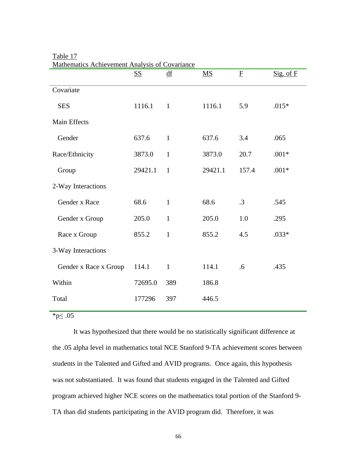|                       | $S\!\!\!\!\Sigma$ | df           | $\overline{\text{MS}}$ | $\mathbf F$ | Sig. of F |
|-----------------------|-------------------|--------------|------------------------|-------------|-----------|
| Covariate             |                   |              |                        |             |           |
| <b>SES</b>            | 1116.1            | $\mathbf{1}$ | 1116.1                 | 5.9         | $.015*$   |
| Main Effects          |                   |              |                        |             |           |
| Gender                | 637.6             | $\mathbf{1}$ | 637.6                  | 3.4         | .065      |
| Race/Ethnicity        | 3873.0            | $\mathbf{1}$ | 3873.0                 | 20.7        | $.001*$   |
| Group                 | 29421.1           | $\mathbf{1}$ | 29421.1                | 157.4       | $.001*$   |
| 2-Way Interactions    |                   |              |                        |             |           |
| Gender x Race         | 68.6              | $\mathbf{1}$ | 68.6                   | $\cdot$ 3   | .545      |
| Gender x Group        | 205.0             | $\mathbf{1}$ | 205.0                  | 1.0         | .295      |
| Race x Group          | 855.2             | $\mathbf{1}$ | 855.2                  | 4.5         | $.033*$   |
| 3-Way Interactions    |                   |              |                        |             |           |
| Gender x Race x Group | 114.1             | $\mathbf{1}$ | 114.1                  | .6          | .435      |
| Within                | 72695.0           | 389          | 186.8                  |             |           |
| Total                 | 177296            | 397          | 446.5                  |             |           |
|                       |                   |              |                        |             |           |

Table 17 Mathematics Achievement Analysis of Covariance

 $*<sub>p</sub>≤.05$ 

It was hypothesized that there would be no statistically significant difference at the .05 alpha level in mathematics total NCE Stanford 9-TA achievement scores between students in the Talented and Gifted and AVID programs. Once again, this hypothesis was not substantiated. It was found that students engaged in the Talented and Gifted program achieved higher NCE scores on the mathematics total portion of the Stanford 9- TA than did students participating in the AVID program did. Therefore, it was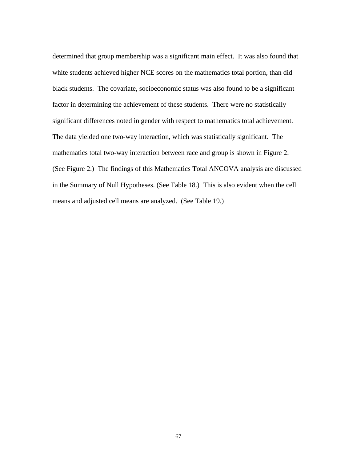determined that group membership was a significant main effect. It was also found that white students achieved higher NCE scores on the mathematics total portion, than did black students. The covariate, socioeconomic status was also found to be a significant factor in determining the achievement of these students. There were no statistically significant differences noted in gender with respect to mathematics total achievement. The data yielded one two-way interaction, which was statistically significant. The mathematics total two-way interaction between race and group is shown in Figure 2. (See Figure 2.) The findings of this Mathematics Total ANCOVA analysis are discussed in the Summary of Null Hypotheses. (See Table 18.) This is also evident when the cell means and adjusted cell means are analyzed. (See Table 19.)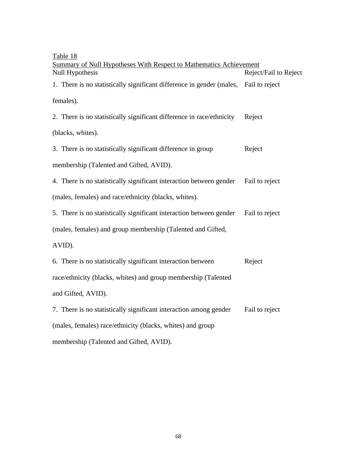## Table 18

| <u>Lavie</u> 10<br>Summary of Null Hypotheses With Respect to Mathematics Achievement |                       |
|---------------------------------------------------------------------------------------|-----------------------|
| Null Hypothesis                                                                       | Reject/Fail to Reject |
| 1. There is no statistically significant difference in gender (males, Fail to reject  |                       |
| females).                                                                             |                       |
| 2. There is no statistically significant difference in race/ethnicity                 | Reject                |
| (blacks, whites).                                                                     |                       |
| 3. There is no statistically significant difference in group                          | Reject                |
| membership (Talented and Gifted, AVID).                                               |                       |
| 4. There is no statistically significant interaction between gender                   | Fail to reject        |
| (males, females) and race/ethnicity (blacks, whites).                                 |                       |
| 5. There is no statistically significant interaction between gender                   | Fail to reject        |
| (males, females) and group membership (Talented and Gifted,                           |                       |
| AVID).                                                                                |                       |
| 6. There is no statistically significant interaction between                          | Reject                |
| race/ethnicity (blacks, whites) and group membership (Talented                        |                       |
| and Gifted, AVID).                                                                    |                       |
| 7. There is no statistically significant interaction among gender                     | Fail to reject        |
| (males, females) race/ethnicity (blacks, whites) and group                            |                       |
| membership (Talented and Gifted, AVID).                                               |                       |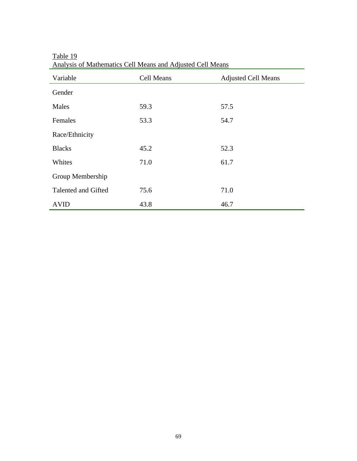| Variable            | Cell Means | <b>Adjusted Cell Means</b> |
|---------------------|------------|----------------------------|
| Gender              |            |                            |
| Males               | 59.3       | 57.5                       |
| Females             | 53.3       | 54.7                       |
| Race/Ethnicity      |            |                            |
| <b>Blacks</b>       | 45.2       | 52.3                       |
| Whites              | 71.0       | 61.7                       |
| Group Membership    |            |                            |
| Talented and Gifted | 75.6       | 71.0                       |
| <b>AVID</b>         | 43.8       | 46.7                       |

Table 19 Analysis of Mathematics Cell Means and Adjusted Cell Means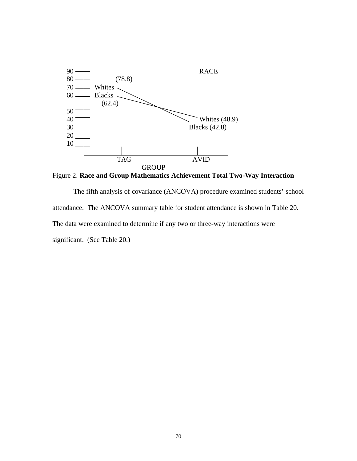

Figure 2. **Race and Group Mathematics Achievement Total Two-Way Interaction**

The fifth analysis of covariance (ANCOVA) procedure examined students' school attendance. The ANCOVA summary table for student attendance is shown in Table 20. The data were examined to determine if any two or three-way interactions were significant. (See Table 20.)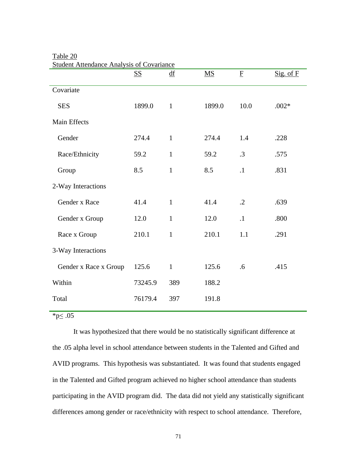|                       | <b>SS</b> | $\underline{df}$ | $\overline{\text{MS}}$ | ${\underline{\mathbf{F}}}$ | Sig. of F |
|-----------------------|-----------|------------------|------------------------|----------------------------|-----------|
| Covariate             |           |                  |                        |                            |           |
| <b>SES</b>            | 1899.0    | $\mathbf{1}$     | 1899.0                 | 10.0                       | $.002*$   |
| Main Effects          |           |                  |                        |                            |           |
| Gender                | 274.4     | $\mathbf{1}$     | 274.4                  | 1.4                        | .228      |
| Race/Ethnicity        | 59.2      | $\mathbf{1}$     | 59.2                   | .3                         | .575      |
| Group                 | 8.5       | $\mathbf{1}$     | 8.5                    | $\cdot$ 1                  | .831      |
| 2-Way Interactions    |           |                  |                        |                            |           |
| Gender x Race         | 41.4      | $\mathbf{1}$     | 41.4                   | $\cdot$ .2                 | .639      |
| Gender x Group        | 12.0      | $\mathbf{1}$     | 12.0                   | $\cdot$ 1                  | .800      |
| Race x Group          | 210.1     | $\mathbf{1}$     | 210.1                  | 1.1                        | .291      |
| 3-Way Interactions    |           |                  |                        |                            |           |
| Gender x Race x Group | 125.6     | $\mathbf{1}$     | 125.6                  | .6                         | .415      |
| Within                | 73245.9   | 389              | 188.2                  |                            |           |
| Total                 | 76179.4   | 397              | 191.8                  |                            |           |
|                       |           |                  |                        |                            |           |

Table 20 **Student Attendance Analysis of Covariance** 

 $*<sub>p</sub>≤.05$ 

It was hypothesized that there would be no statistically significant difference at the .05 alpha level in school attendance between students in the Talented and Gifted and AVID programs. This hypothesis was substantiated. It was found that students engaged in the Talented and Gifted program achieved no higher school attendance than students participating in the AVID program did. The data did not yield any statistically significant differences among gender or race/ethnicity with respect to school attendance. Therefore,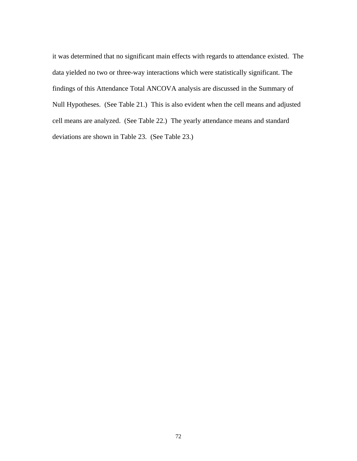it was determined that no significant main effects with regards to attendance existed. The data yielded no two or three-way interactions which were statistically significant. The findings of this Attendance Total ANCOVA analysis are discussed in the Summary of Null Hypotheses. (See Table 21.) This is also evident when the cell means and adjusted cell means are analyzed. (See Table 22.) The yearly attendance means and standard deviations are shown in Table 23. (See Table 23.)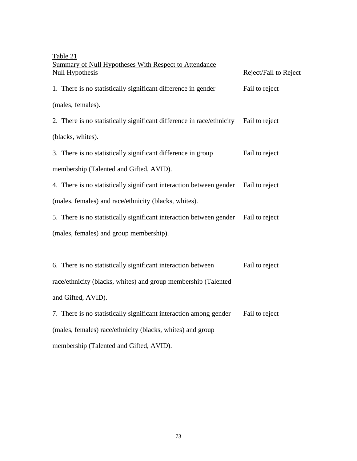| Table 21                                                                             |                       |
|--------------------------------------------------------------------------------------|-----------------------|
| <b>Summary of Null Hypotheses With Respect to Attendance</b><br>Null Hypothesis      | Reject/Fail to Reject |
| 1. There is no statistically significant difference in gender                        | Fail to reject        |
| (males, females).                                                                    |                       |
| 2. There is no statistically significant difference in race/ethnicity Fail to reject |                       |
| (blacks, whites).                                                                    |                       |
| 3. There is no statistically significant difference in group                         | Fail to reject        |
| membership (Talented and Gifted, AVID).                                              |                       |
| 4. There is no statistically significant interaction between gender Fail to reject   |                       |
| (males, females) and race/ethnicity (blacks, whites).                                |                       |
| 5. There is no statistically significant interaction between gender                  | Fail to reject        |
| (males, females) and group membership).                                              |                       |
|                                                                                      |                       |
| 6. There is no statistically significant interaction between                         | Fail to reject        |
| race/ethnicity (blacks, whites) and group membership (Talented                       |                       |
| and Gifted, AVID).                                                                   |                       |
| 7. There is no statistically significant interaction among gender                    | Fail to reject        |
| (males, females) race/ethnicity (blacks, whites) and group                           |                       |

membership (Talented and Gifted, AVID).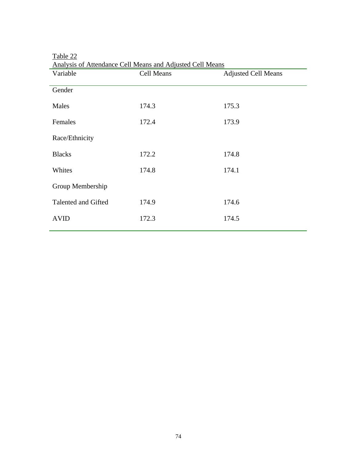| Variable            | Cell Means | <b>Adjusted Cell Means</b> |
|---------------------|------------|----------------------------|
| Gender              |            |                            |
| Males               | 174.3      | 175.3                      |
| Females             | 172.4      | 173.9                      |
| Race/Ethnicity      |            |                            |
| <b>Blacks</b>       | 172.2      | 174.8                      |
| Whites              | 174.8      | 174.1                      |
| Group Membership    |            |                            |
| Talented and Gifted | 174.9      | 174.6                      |
| <b>AVID</b>         | 172.3      | 174.5                      |

Table 22 Analysis of Attendance Cell Means and Adjusted Cell Means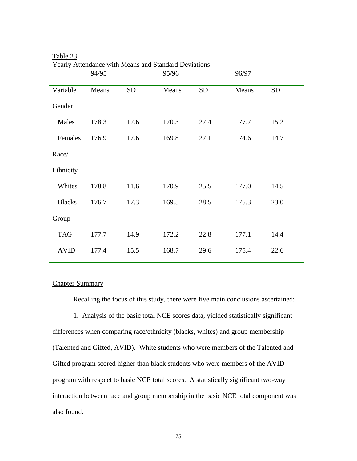|               | 94/95 |           | 95/96 |           | 96/97 |           |
|---------------|-------|-----------|-------|-----------|-------|-----------|
| Variable      | Means | <b>SD</b> | Means | <b>SD</b> | Means | <b>SD</b> |
| Gender        |       |           |       |           |       |           |
| Males         | 178.3 | 12.6      | 170.3 | 27.4      | 177.7 | 15.2      |
| Females       | 176.9 | 17.6      | 169.8 | 27.1      | 174.6 | 14.7      |
| Race/         |       |           |       |           |       |           |
| Ethnicity     |       |           |       |           |       |           |
| Whites        | 178.8 | 11.6      | 170.9 | 25.5      | 177.0 | 14.5      |
| <b>Blacks</b> | 176.7 | 17.3      | 169.5 | 28.5      | 175.3 | 23.0      |
| Group         |       |           |       |           |       |           |
| <b>TAG</b>    | 177.7 | 14.9      | 172.2 | 22.8      | 177.1 | 14.4      |
| <b>AVID</b>   | 177.4 | 15.5      | 168.7 | 29.6      | 175.4 | 22.6      |
|               |       |           |       |           |       |           |

## Table 23 Yearly Attendance with Means and Standard Deviations

### Chapter Summary

Recalling the focus of this study, there were five main conclusions ascertained:

1. Analysis of the basic total NCE scores data, yielded statistically significant differences when comparing race/ethnicity (blacks, whites) and group membership (Talented and Gifted, AVID). White students who were members of the Talented and Gifted program scored higher than black students who were members of the AVID program with respect to basic NCE total scores. A statistically significant two-way interaction between race and group membership in the basic NCE total component was also found.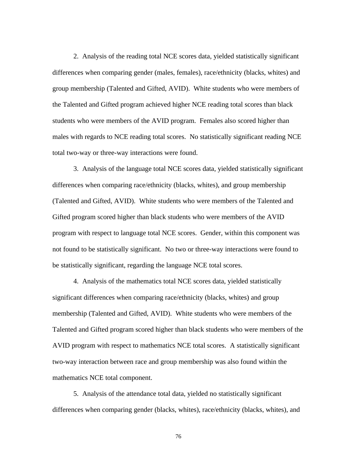2. Analysis of the reading total NCE scores data, yielded statistically significant differences when comparing gender (males, females), race/ethnicity (blacks, whites) and group membership (Talented and Gifted, AVID). White students who were members of the Talented and Gifted program achieved higher NCE reading total scores than black students who were members of the AVID program. Females also scored higher than males with regards to NCE reading total scores. No statistically significant reading NCE total two-way or three-way interactions were found.

3. Analysis of the language total NCE scores data, yielded statistically significant differences when comparing race/ethnicity (blacks, whites), and group membership (Talented and Gifted, AVID). White students who were members of the Talented and Gifted program scored higher than black students who were members of the AVID program with respect to language total NCE scores. Gender, within this component was not found to be statistically significant. No two or three-way interactions were found to be statistically significant, regarding the language NCE total scores.

4. Analysis of the mathematics total NCE scores data, yielded statistically significant differences when comparing race/ethnicity (blacks, whites) and group membership (Talented and Gifted, AVID). White students who were members of the Talented and Gifted program scored higher than black students who were members of the AVID program with respect to mathematics NCE total scores. A statistically significant two-way interaction between race and group membership was also found within the mathematics NCE total component.

5. Analysis of the attendance total data, yielded no statistically significant differences when comparing gender (blacks, whites), race/ethnicity (blacks, whites), and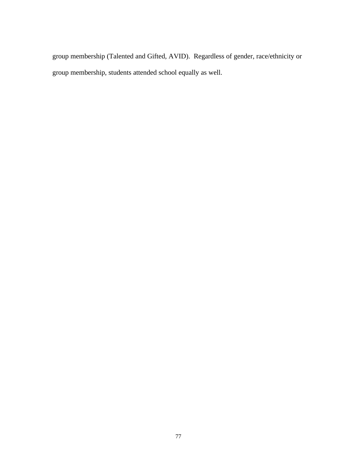group membership (Talented and Gifted, AVID). Regardless of gender, race/ethnicity or group membership, students attended school equally as well.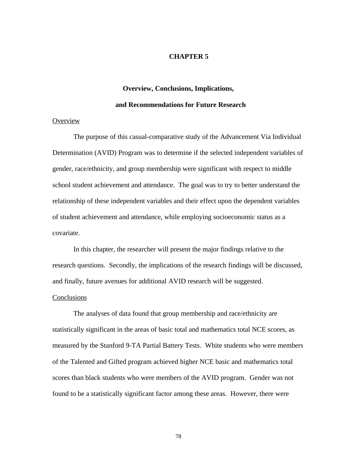### **CHAPTER 5**

#### **Overview, Conclusions, Implications,**

#### **and Recommendations for Future Research**

### Overview

The purpose of this casual-comparative study of the Advancement Via Individual Determination (AVID) Program was to determine if the selected independent variables of gender, race/ethnicity, and group membership were significant with respect to middle school student achievement and attendance. The goal was to try to better understand the relationship of these independent variables and their effect upon the dependent variables of student achievement and attendance, while employing socioeconomic status as a covariate.

In this chapter, the researcher will present the major findings relative to the research questions. Secondly, the implications of the research findings will be discussed, and finally, future avenues for additional AVID research will be suggested.

### Conclusions

The analyses of data found that group membership and race/ethnicity are statistically significant in the areas of basic total and mathematics total NCE scores, as measured by the Stanford 9-TA Partial Battery Tests. White students who were members of the Talented and Gifted program achieved higher NCE basic and mathematics total scores than black students who were members of the AVID program. Gender was not found to be a statistically significant factor among these areas. However, there were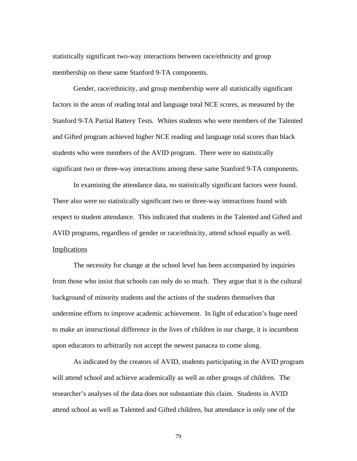statistically significant two-way interactions between race/ethnicity and group membership on these same Stanford 9-TA components.

Gender, race/ethnicity, and group membership were all statistically significant factors in the areas of reading total and language total NCE scores, as measured by the Stanford 9-TA Partial Battery Tests. Whites students who were members of the Talented and Gifted program achieved higher NCE reading and language total scores than black students who were members of the AVID program. There were no statistically significant two or three-way interactions among these same Stanford 9-TA components.

In examining the attendance data, no statistically significant factors were found. There also were no statistically significant two or three-way interactions found with respect to student attendance. This indicated that students in the Talented and Gifted and AVID programs, regardless of gender or race/ethnicity, attend school equally as well. **Implications** 

The necessity for change at the school level has been accompanied by inquiries from those who insist that schools can only do so much. They argue that it is the cultural background of minority students and the actions of the students themselves that undermine efforts to improve academic achievement. In light of education's huge need to make an instructional difference in the lives of children in our charge, it is incumbent upon educators to arbitrarily not accept the newest panacea to come along.

As indicated by the creators of AVID, students participating in the AVID program will attend school and achieve academically as well as other groups of children. The researcher's analyses of the data does not substantiate this claim. Students in AVID attend school as well as Talented and Gifted children, but attendance is only one of the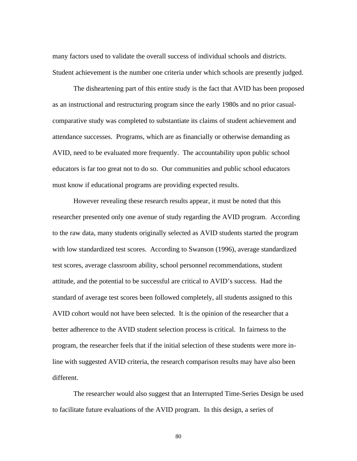many factors used to validate the overall success of individual schools and districts. Student achievement is the number one criteria under which schools are presently judged.

The disheartening part of this entire study is the fact that AVID has been proposed as an instructional and restructuring program since the early 1980s and no prior casualcomparative study was completed to substantiate its claims of student achievement and attendance successes. Programs, which are as financially or otherwise demanding as AVID, need to be evaluated more frequently. The accountability upon public school educators is far too great not to do so. Our communities and public school educators must know if educational programs are providing expected results.

However revealing these research results appear, it must be noted that this researcher presented only one avenue of study regarding the AVID program. According to the raw data, many students originally selected as AVID students started the program with low standardized test scores. According to Swanson (1996), average standardized test scores, average classroom ability, school personnel recommendations, student attitude, and the potential to be successful are critical to AVID's success. Had the standard of average test scores been followed completely, all students assigned to this AVID cohort would not have been selected. It is the opinion of the researcher that a better adherence to the AVID student selection process is critical. In fairness to the program, the researcher feels that if the initial selection of these students were more inline with suggested AVID criteria, the research comparison results may have also been different.

The researcher would also suggest that an Interrupted Time-Series Design be used to facilitate future evaluations of the AVID program. In this design, a series of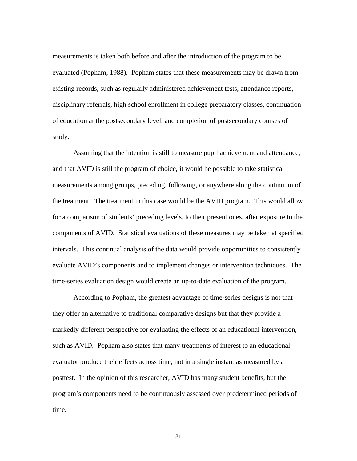measurements is taken both before and after the introduction of the program to be evaluated (Popham, 1988). Popham states that these measurements may be drawn from existing records, such as regularly administered achievement tests, attendance reports, disciplinary referrals, high school enrollment in college preparatory classes, continuation of education at the postsecondary level, and completion of postsecondary courses of study.

Assuming that the intention is still to measure pupil achievement and attendance, and that AVID is still the program of choice, it would be possible to take statistical measurements among groups, preceding, following, or anywhere along the continuum of the treatment. The treatment in this case would be the AVID program. This would allow for a comparison of students' preceding levels, to their present ones, after exposure to the components of AVID. Statistical evaluations of these measures may be taken at specified intervals. This continual analysis of the data would provide opportunities to consistently evaluate AVID's components and to implement changes or intervention techniques. The time-series evaluation design would create an up-to-date evaluation of the program.

According to Popham, the greatest advantage of time-series designs is not that they offer an alternative to traditional comparative designs but that they provide a markedly different perspective for evaluating the effects of an educational intervention, such as AVID. Popham also states that many treatments of interest to an educational evaluator produce their effects across time, not in a single instant as measured by a posttest. In the opinion of this researcher, AVID has many student benefits, but the program's components need to be continuously assessed over predetermined periods of time.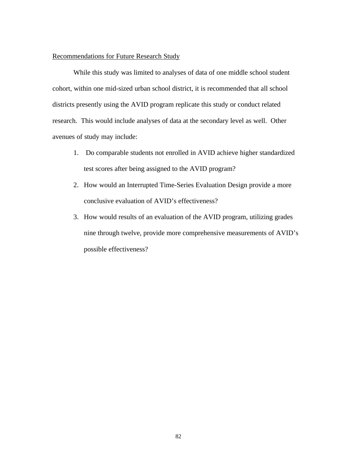### Recommendations for Future Research Study

While this study was limited to analyses of data of one middle school student cohort, within one mid-sized urban school district, it is recommended that all school districts presently using the AVID program replicate this study or conduct related research. This would include analyses of data at the secondary level as well. Other avenues of study may include:

- 1. Do comparable students not enrolled in AVID achieve higher standardized test scores after being assigned to the AVID program?
- 2. How would an Interrupted Time-Series Evaluation Design provide a more conclusive evaluation of AVID's effectiveness?
- 3. How would results of an evaluation of the AVID program, utilizing grades nine through twelve, provide more comprehensive measurements of AVID's possible effectiveness?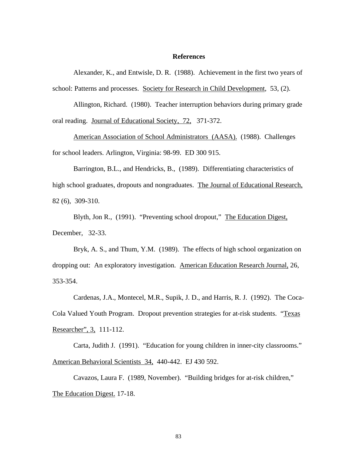### **References**

Alexander, K., and Entwisle, D. R. (1988). Achievement in the first two years of school: Patterns and processes. Society for Research in Child Development, 53, (2).

Allington, Richard. (1980). Teacher interruption behaviors during primary grade oral reading. Journal of Educational Society, 72, 371-372.

American Association of School Administrators (AASA). (1988). Challenges for school leaders. Arlington, Virginia: 98-99. ED 300 915.

Barrington, B.L., and Hendricks, B., (1989). Differentiating characteristics of high school graduates, dropouts and nongraduates. The Journal of Educational Research, 82 (6), 309-310.

Blyth, Jon R., (1991). "Preventing school dropout," The Education Digest, December, 32-33.

Bryk, A. S., and Thum, Y.M. (1989). The effects of high school organization on dropping out: An exploratory investigation. American Education Research Journal, 26, 353-354.

 Cardenas, J.A., Montecel, M.R., Supik, J. D., and Harris, R. J. (1992). The Coca-Cola Valued Youth Program. Dropout prevention strategies for at-risk students. "Texas Researcher", 3, 111-112.

 Carta, Judith J. (1991). "Education for young children in inner-city classrooms." American Behavioral Scientists 34, 440-442. EJ 430 592.

Cavazos, Laura F. (1989, November). "Building bridges for at-risk children," The Education Digest. 17-18.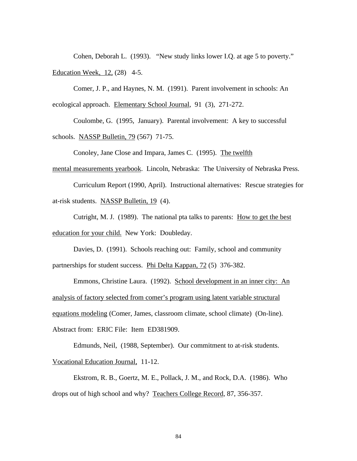Cohen, Deborah L. (1993). "New study links lower I.Q. at age 5 to poverty." Education Week, 12, (28) 4-5.

Comer, J. P., and Haynes, N. M. (1991). Parent involvement in schools: An ecological approach. Elementary School Journal, 91 (3), 271-272.

 Coulombe, G. (1995, January). Parental involvement: A key to successful schools. NASSP Bulletin, 79 (567) 71-75.

Conoley, Jane Close and Impara, James C. (1995). The twelfth

mental measurements yearbook. Lincoln, Nebraska: The University of Nebraska Press.

Curriculum Report (1990, April). Instructional alternatives: Rescue strategies for at-risk students. NASSP Bulletin, 19 (4).

 Cutright, M. J. (1989). The national pta talks to parents: How to get the best education for your child. New York: Doubleday.

 Davies, D. (1991). Schools reaching out: Family, school and community partnerships for student success. Phi Delta Kappan, 72 (5) 376-382.

Emmons, Christine Laura. (1992). School development in an inner city: An analysis of factory selected from comer's program using latent variable structural equations modeling (Comer, James, classroom climate, school climate) (On-line). Abstract from: ERIC File: Item ED381909.

Edmunds, Neil, (1988, September). Our commitment to at-risk students. Vocational Education Journal, 11-12.

Ekstrom, R. B., Goertz, M. E., Pollack, J. M., and Rock, D.A. (1986). Who drops out of high school and why? Teachers College Record, 87, 356-357.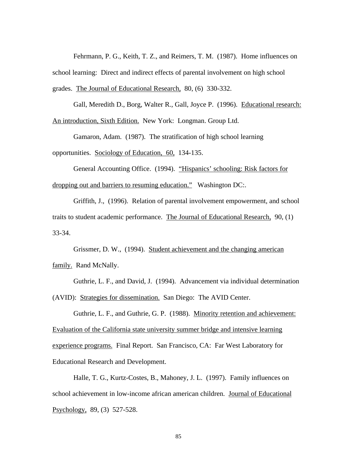Fehrmann, P. G., Keith, T. Z., and Reimers, T. M. (1987). Home influences on school learning: Direct and indirect effects of parental involvement on high school grades. The Journal of Educational Research, 80, (6) 330-332.

 Gall, Meredith D., Borg, Walter R., Gall, Joyce P. (1996). Educational research: An introduction, Sixth Edition. New York: Longman. Group Ltd.

Gamaron, Adam. (1987). The stratification of high school learning opportunities. Sociology of Education, 60, 134-135.

 General Accounting Office. (1994). "Hispanics' schooling: Risk factors for dropping out and barriers to resuming education." Washington DC:.

Griffith, J., (1996). Relation of parental involvement empowerment, and school traits to student academic performance. The Journal of Educational Research, 90, (1) 33-34.

Grissmer, D. W., (1994). Student achievement and the changing american family. Rand McNally.

Guthrie, L. F., and David, J. (1994). Advancement via individual determination (AVID): Strategies for dissemination. San Diego: The AVID Center.

Guthrie, L. F., and Guthrie, G. P. (1988). Minority retention and achievement: Evaluation of the California state university summer bridge and intensive learning experience programs. Final Report. San Francisco, CA: Far West Laboratory for Educational Research and Development.

Halle, T. G., Kurtz-Costes, B., Mahoney, J. L. (1997). Family influences on school achievement in low-income african american children. Journal of Educational Psychology, 89, (3) 527-528.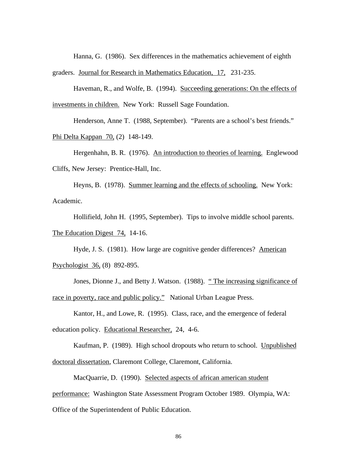Hanna, G. (1986). Sex differences in the mathematics achievement of eighth graders. Journal for Research in Mathematics Education, 17, 231-235.

Haveman, R., and Wolfe, B. (1994). Succeeding generations: On the effects of investments in children. New York: Russell Sage Foundation.

Henderson, Anne T. (1988, September). "Parents are a school's best friends." Phi Delta Kappan 70, (2) 148-149.

Hergenhahn, B. R. (1976). An introduction to theories of learning. Englewood Cliffs, New Jersey: Prentice-Hall, Inc.

Heyns, B. (1978). Summer learning and the effects of schooling. New York: Academic.

Hollifield, John H. (1995, September). Tips to involve middle school parents. The Education Digest 74, 14-16.

Hyde, J. S. (1981). How large are cognitive gender differences? American Psychologist 36, (8) 892-895.

Jones, Dionne J., and Betty J. Watson. (1988). "The increasing significance of race in poverty, race and public policy." National Urban League Press.

Kantor, H., and Lowe, R. (1995). Class, race, and the emergence of federal education policy. Educational Researcher, 24, 4-6.

Kaufman, P. (1989). High school dropouts who return to school. Unpublished doctoral dissertation, Claremont College, Claremont, California.

MacQuarrie, D. (1990). Selected aspects of african american student performance: Washington State Assessment Program October 1989. Olympia, WA:

Office of the Superintendent of Public Education.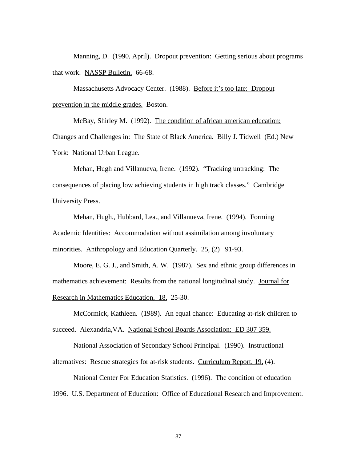Manning, D. (1990, April). Dropout prevention: Getting serious about programs that work. NASSP Bulletin, 66-68.

 Massachusetts Advocacy Center. (1988). Before it's too late: Dropout prevention in the middle grades. Boston.

 McBay, Shirley M. (1992). The condition of african american education: Changes and Challenges in: The State of Black America. Billy J. Tidwell (Ed.) New York: National Urban League.

Mehan, Hugh and Villanueva, Irene. (1992). "Tracking untracking: The consequences of placing low achieving students in high track classes." Cambridge University Press.

 Mehan, Hugh., Hubbard, Lea., and Villanueva, Irene. (1994). Forming Academic Identities: Accommodation without assimilation among involuntary minorities. Anthropology and Education Quarterly. 25, (2) 91-93.

 Moore, E. G. J., and Smith, A. W. (1987). Sex and ethnic group differences in mathematics achievement: Results from the national longitudinal study. Journal for Research in Mathematics Education, 18, 25-30.

 McCormick, Kathleen. (1989). An equal chance: Educating at-risk children to succeed. Alexandria,VA. National School Boards Association: ED 307 359.

 National Association of Secondary School Principal. (1990). Instructional alternatives: Rescue strategies for at-risk students. Curriculum Report. 19, (4).

National Center For Education Statistics. (1996). The condition of education 1996. U.S. Department of Education: Office of Educational Research and Improvement.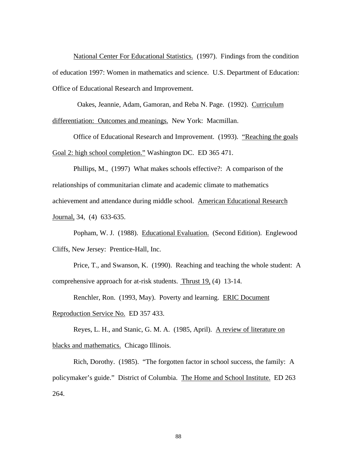National Center For Educational Statistics. (1997). Findings from the condition of education 1997: Women in mathematics and science. U.S. Department of Education: Office of Educational Research and Improvement.

Oakes, Jeannie, Adam, Gamoran, and Reba N. Page. (1992). Curriculum

differentiation: Outcomes and meanings. New York: Macmillan.

 Office of Educational Research and Improvement. (1993). "Reaching the goals Goal 2: high school completion." Washington DC. ED 365 471.

Phillips, M., (1997) What makes schools effective?: A comparison of the relationships of communitarian climate and academic climate to mathematics achievement and attendance during middle school. American Educational Research Journal, 34, (4) 633-635.

Popham, W. J. (1988). Educational Evaluation. (Second Edition). Englewood Cliffs, New Jersey: Prentice-Hall, Inc.

Price, T., and Swanson, K. (1990). Reaching and teaching the whole student: A comprehensive approach for at-risk students. Thrust 19, (4) 13-14.

 Renchler, Ron. (1993, May). Poverty and learning. ERIC Document Reproduction Service No. ED 357 433.

Reyes, L. H., and Stanic, G. M. A. (1985, April). A review of literature on blacks and mathematics. Chicago Illinois.

 Rich, Dorothy. (1985). "The forgotten factor in school success, the family: A policymaker's guide." District of Columbia. The Home and School Institute. ED 263 264.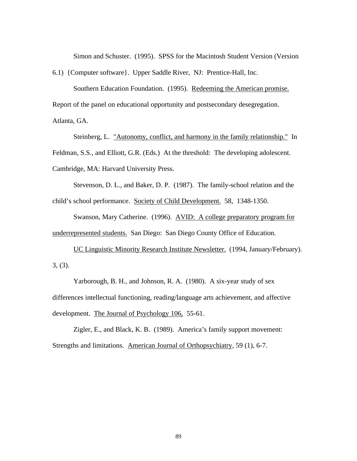Simon and Schuster. (1995). SPSS for the Macintosh Student Version (Version

6.1) {Computer software}. Upper Saddle River, NJ: Prentice-Hall, Inc.

Southern Education Foundation. (1995). Redeeming the American promise. Report of the panel on educational opportunity and postsecondary desegregation. Atlanta, GA.

Steinberg, L. "Autonomy, conflict, and harmony in the family relationship." In Feldman, S.S., and Elliott, G.R. (Eds.) At the threshold: The developing adolescent. Cambridge, MA: Harvard University Press.

Stevenson, D. L., and Baker, D. P. (1987). The family-school relation and the child's school performance. Society of Child Development. 58, 1348-1350.

Swanson, Mary Catherine. (1996). AVID: A college preparatory program for underrepresented students. San Diego: San Diego County Office of Education.

UC Linguistic Minority Research Institute Newsletter. (1994, January/February). 3, (3).

Yarborough, B. H., and Johnson, R. A. (1980). A six-year study of sex differences intellectual functioning, reading/language arts achievement, and affective development. The Journal of Psychology 106, 55-61.

Zigler, E., and Black, K. B. (1989). America's family support movement: Strengths and limitations. American Journal of Orthopsychiatry, 59 (1), 6-7.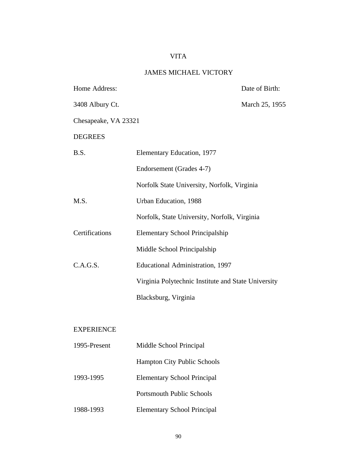# VITA

# JAMES MICHAEL VICTORY

| Home Address:        |                                                     | Date of Birth: |
|----------------------|-----------------------------------------------------|----------------|
| 3408 Albury Ct.      |                                                     | March 25, 1955 |
| Chesapeake, VA 23321 |                                                     |                |
| <b>DEGREES</b>       |                                                     |                |
| B.S.                 | Elementary Education, 1977                          |                |
|                      | Endorsement (Grades 4-7)                            |                |
|                      | Norfolk State University, Norfolk, Virginia         |                |
| M.S.                 | Urban Education, 1988                               |                |
|                      | Norfolk, State University, Norfolk, Virginia        |                |
| Certifications       | <b>Elementary School Principalship</b>              |                |
|                      | Middle School Principalship                         |                |
| C.A.G.S.             | <b>Educational Administration, 1997</b>             |                |
|                      | Virginia Polytechnic Institute and State University |                |
|                      | Blacksburg, Virginia                                |                |
|                      |                                                     |                |
| <b>EXPERIENCE</b>    |                                                     |                |

| 1995-Present | Middle School Principal            |
|--------------|------------------------------------|
|              | <b>Hampton City Public Schools</b> |
| 1993-1995    | <b>Elementary School Principal</b> |
|              | <b>Portsmouth Public Schools</b>   |
| 1988-1993    | <b>Elementary School Principal</b> |